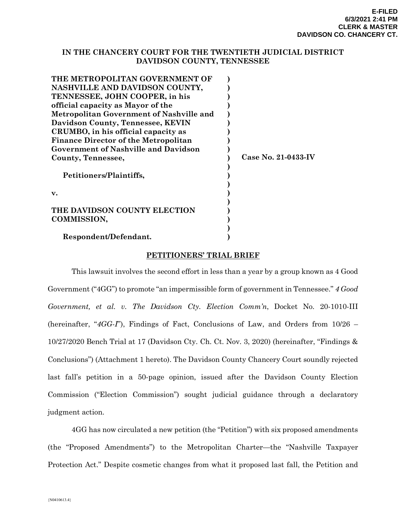### **IN THE CHANCERY COURT FOR THE TWENTIETH JUDICIAL DISTRICT DAVIDSON COUNTY, TENNESSEE**

| Case No. 21-0433-IV |
|---------------------|
|                     |
|                     |
|                     |
|                     |
|                     |
|                     |
|                     |
|                     |
|                     |
|                     |

### **PETITIONERS' TRIAL BRIEF**

This lawsuit involves the second effort in less than a year by a group known as 4 Good Government ("4GG") to promote "an impermissible form of government in Tennessee." *4 Good Government, et al. v. The Davidson Cty. Election Comm'n*, Docket No. 20-1010-III (hereinafter, "*4GG-I*"), Findings of Fact, Conclusions of Law, and Orders from 10/26 – 10/27/2020 Bench Trial at 17 (Davidson Cty. Ch. Ct. Nov. 3, 2020) (hereinafter, "Findings & Conclusions") (Attachment 1 hereto). The Davidson County Chancery Court soundly rejected last fall's petition in a 50-page opinion, issued after the Davidson County Election Commission ("Election Commission") sought judicial guidance through a declaratory judgment action.

4GG has now circulated a new petition (the "Petition") with six proposed amendments (the "Proposed Amendments") to the Metropolitan Charter—the "Nashville Taxpayer Protection Act." Despite cosmetic changes from what it proposed last fall, the Petition and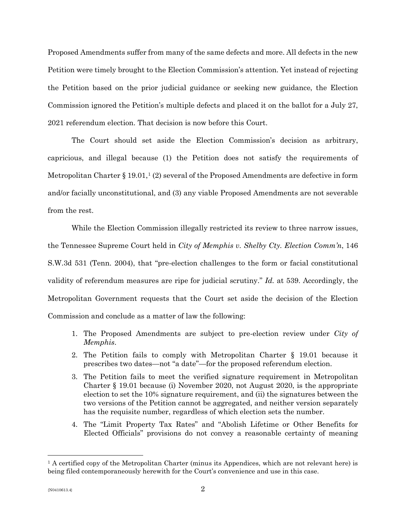Proposed Amendments suffer from many of the same defects and more. All defects in the new Petition were timely brought to the Election Commission's attention. Yet instead of rejecting the Petition based on the prior judicial guidance or seeking new guidance, the Election Commission ignored the Petition's multiple defects and placed it on the ballot for a July 27, 2021 referendum election. That decision is now before this Court.

The Court should set aside the Election Commission's decision as arbitrary, capricious, and illegal because (1) the Petition does not satisfy the requirements of Metropolitan Charter  $\S 19.01<sup>1</sup>$  (2) several of the Proposed Amendments are defective in form and/or facially unconstitutional, and (3) any viable Proposed Amendments are not severable from the rest.

While the Election Commission illegally restricted its review to three narrow issues, the Tennessee Supreme Court held in *City of Memphis v. Shelby Cty. Election Comm'n*, 146 S.W.3d 531 (Tenn. 2004), that "pre-election challenges to the form or facial constitutional validity of referendum measures are ripe for judicial scrutiny." *Id.* at 539. Accordingly, the Metropolitan Government requests that the Court set aside the decision of the Election Commission and conclude as a matter of law the following:

- 1. The Proposed Amendments are subject to pre-election review under *City of Memphis*.
- 2. The Petition fails to comply with Metropolitan Charter § 19.01 because it prescribes two dates—not "a date"—for the proposed referendum election.
- 3. The Petition fails to meet the verified signature requirement in Metropolitan Charter § 19.01 because (i) November 2020, not August 2020, is the appropriate election to set the 10% signature requirement, and (ii) the signatures between the two versions of the Petition cannot be aggregated, and neither version separately has the requisite number, regardless of which election sets the number.
- 4. The "Limit Property Tax Rates" and "Abolish Lifetime or Other Benefits for Elected Officials" provisions do not convey a reasonable certainty of meaning

<span id="page-1-0"></span><sup>&</sup>lt;sup>1</sup> A certified copy of the Metropolitan Charter (minus its Appendices, which are not relevant here) is being filed contemporaneously herewith for the Court's convenience and use in this case.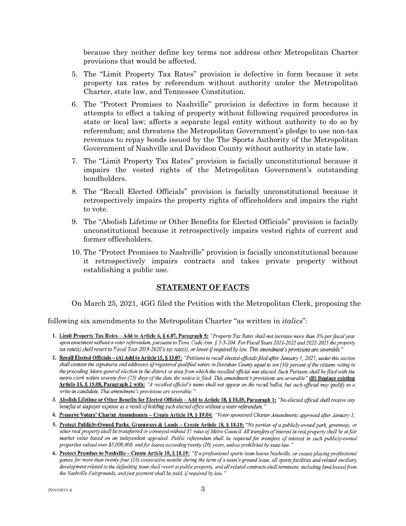because they neither define key terms nor address other Metropolitan Charter provisions that would be affected.

- 5. The "Limit Property Tax Rates" provision is defective in form because it sets property tax rates by referendum without authority under the Metropolitan Charter, state law, and Tennessee Constitution.
- 6. The "Protect Promises to Nashville" provision is defective in form because it attempts to effect a taking of property without following required procedures in state or local law; affects a separate legal entity without authority to do so by referendum; and threatens the Metropolitan Government's pledge to use non-tax revenues to repay bonds issued by the The Sports Authority of the Metropolitan Government of Nashville and Davidson County without authority in state law.
- 7. The "Limit Property Tax Rates" provision is facially unconstitutional because it impairs the vested rights of the Metropolitan Government's outstanding bondholders.
- 8. The "Recall Elected Officials" provision is facially unconstitutional because it retrospectively impairs the property rights of officeholders and impairs the right to vote.
- 9. The "Abolish Lifetime or Other Benefits for Elected Officials" provision is facially unconstitutional because it retrospectively impairs vested rights of current and former officeholders.
- 10. The "Protect Promises to Nashville" provision is facially unconstitutional because it retrospectively impairs contracts and takes private property without establishing a public use.

### **STATEMENT OF FACTS**

On March 25, 2021, 4GG filed the Petition with the Metropolitan Clerk, proposing the

following six amendments to the Metropolitan Charter "as written in *italics*":

- 1. Limit Property Tax Rates Add to Article 6, § 6.07, Paragraph 5: "Property Tax Rates shall not increase more than 3% per fiscal year upon enactment without a voter referendum, pursuant to Tenn. Code Ann. § 2-3-204. For Fiscal Years 2021-2022 and 2022-2023 the property tax rate(s) shall revert to Fiscal Year 2019-2020's tax rate(s), or lower if required by law. This amendment's provisions are severable.'
- 2. Recall Elected Officials (A) Add to Article 15, § 15.07: "Petitions to recall elected officials filed after January 1, 2021, under this section shall contain the signatures and addresses of registered qualified voters in Davidson County equal to ten (10) percent of the citizens voting in the preceding Metro general election in the district or area from which the recalled official was elected. Such Petitions shall be filed with the metro clerk within seventy-five  $(75)$  days of the date the notice is filed. This amendment's provisions are severable" (B) Replace existing Article 15, § 15.08, Paragraph 2 with: "A recalled official's name shall not appear on the recall ballot, but such official may qualify as a write-in candidate. This amendment's provisions are severable."
- 3. Abolish Lifetime or Other Benefits for Elected Officials Add to Article 18, § 18.05, Paragraph 1: "No elected official shall receive any benefits at taxpayer expense as a result of holding such elected office without a voter referendum.'
- 4. Preserve Voters' Charter Amendments Create Article 19, § 19.04: "Voter-sponsored Charter Amendments approved after January 1,
- 5. Protect Publicly-Owned Parks, Greenways & Lands Create Article 18, § 18.18: "No portion of a publicly-owned park, greenway, or other real property shall be transferred or conveyed without 31 votes of Metro Council. All transfers of interest in real property shall be at fair market value based on an independent appraisal. Public referendum shall be required for transfers of interest in such publicly-owned properties valued over \$5,000,000, and for leases exceeding twenty (20) years, unless prohibited by state law."
- 6. Protect Promises to Nashville Create Article 18, § 18.19: "If a professional sports team leaves Nashville, or ceases playing professional games for more than twenty-four (24) consecutive months during the term of a team's ground lease, all sports facilities and related ancillary development related to the defaulting team shall revert to public property, and all related contracts shall terminate, including land leased from the Nashville Fairgrounds, and just payment shall be paid, if required by law."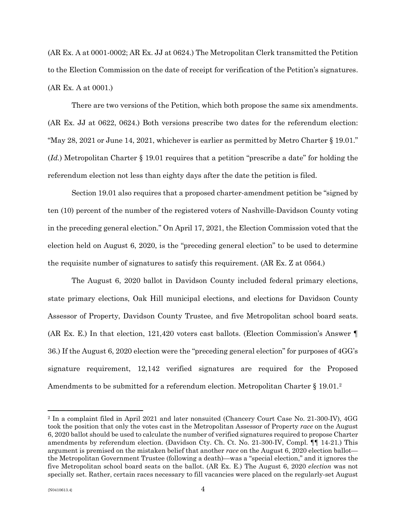(AR Ex. A at 0001-0002; AR Ex. JJ at 0624.) The Metropolitan Clerk transmitted the Petition to the Election Commission on the date of receipt for verification of the Petition's signatures. (AR Ex. A at 0001.)

There are two versions of the Petition, which both propose the same six amendments. (AR Ex. JJ at 0622, 0624.) Both versions prescribe two dates for the referendum election: "May 28, 2021 or June 14, 2021, whichever is earlier as permitted by Metro Charter § 19.01." (*Id.*) Metropolitan Charter § 19.01 requires that a petition "prescribe a date" for holding the referendum election not less than eighty days after the date the petition is filed.

Section 19.01 also requires that a proposed charter-amendment petition be "signed by ten (10) percent of the number of the registered voters of Nashville-Davidson County voting in the preceding general election." On April 17, 2021, the Election Commission voted that the election held on August 6, 2020, is the "preceding general election" to be used to determine the requisite number of signatures to satisfy this requirement. (AR Ex. Z at 0564.)

The August 6, 2020 ballot in Davidson County included federal primary elections, state primary elections, Oak Hill municipal elections, and elections for Davidson County Assessor of Property, Davidson County Trustee, and five Metropolitan school board seats. (AR Ex. E.) In that election, 121,420 voters cast ballots. (Election Commission's Answer ¶ 36.) If the August 6, 2020 election were the "preceding general election" for purposes of 4GG's signature requirement, 12,142 verified signatures are required for the Proposed Amendments to be submitted for a referendum election. Metropolitan Charter § 19.01.<sup>[2](#page-3-0)</sup>

<span id="page-3-0"></span><sup>2</sup> In a complaint filed in April 2021 and later nonsuited (Chancery Court Case No. 21-300-IV), 4GG took the position that only the votes cast in the Metropolitan Assessor of Property *race* on the August 6, 2020 ballot should be used to calculate the number of verified signatures required to propose Charter amendments by referendum election. (Davidson Cty. Ch. Ct. No. 21-300-IV, Compl. ¶¶ 14-21.) This argument is premised on the mistaken belief that another *race* on the August 6, 2020 election ballot the Metropolitan Government Trustee (following a death)—was a "special election," and it ignores the five Metropolitan school board seats on the ballot. (AR Ex. E.) The August 6, 2020 *election* was not specially set. Rather, certain races necessary to fill vacancies were placed on the regularly-set August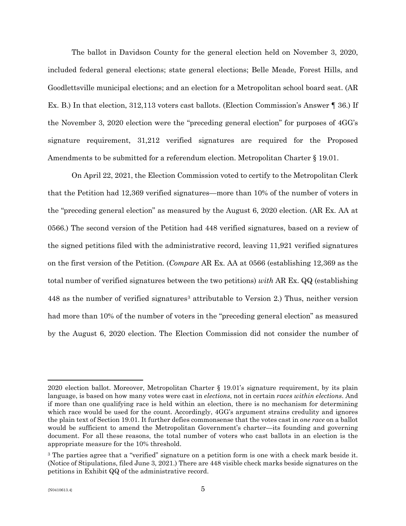The ballot in Davidson County for the general election held on November 3, 2020, included federal general elections; state general elections; Belle Meade, Forest Hills, and Goodlettsville municipal elections; and an election for a Metropolitan school board seat. (AR Ex. B.) In that election, 312,113 voters cast ballots. (Election Commission's Answer ¶ 36.) If the November 3, 2020 election were the "preceding general election" for purposes of 4GG's signature requirement, 31,212 verified signatures are required for the Proposed Amendments to be submitted for a referendum election. Metropolitan Charter § 19.01.

On April 22, 2021, the Election Commission voted to certify to the Metropolitan Clerk that the Petition had 12,369 verified signatures—more than 10% of the number of voters in the "preceding general election" as measured by the August 6, 2020 election. (AR Ex. AA at 0566.) The second version of the Petition had 448 verified signatures, based on a review of the signed petitions filed with the administrative record, leaving 11,921 verified signatures on the first version of the Petition. (*Compare* AR Ex. AA at 0566 (establishing 12,369 as the total number of verified signatures between the two petitions) *with* AR Ex. QQ (establishing 448 as the number of verified signatures<sup>[3](#page-4-0)</sup> attributable to Version 2.) Thus, neither version had more than 10% of the number of voters in the "preceding general election" as measured by the August 6, 2020 election. The Election Commission did not consider the number of

<sup>2020</sup> election ballot. Moreover, Metropolitan Charter § 19.01's signature requirement, by its plain language, is based on how many votes were cast in *elections*, not in certain *races within elections*. And if more than one qualifying race is held within an election, there is no mechanism for determining which race would be used for the count. Accordingly, 4GG's argument strains credulity and ignores the plain text of Section 19.01. It further defies commonsense that the votes cast in *one race* on a ballot would be sufficient to amend the Metropolitan Government's charter—its founding and governing document. For all these reasons, the total number of voters who cast ballots in an election is the appropriate measure for the 10% threshold.

<span id="page-4-0"></span><sup>&</sup>lt;sup>3</sup> The parties agree that a "verified" signature on a petition form is one with a check mark beside it. (Notice of Stipulations, filed June 3, 2021.) There are 448 visible check marks beside signatures on the petitions in Exhibit QQ of the administrative record.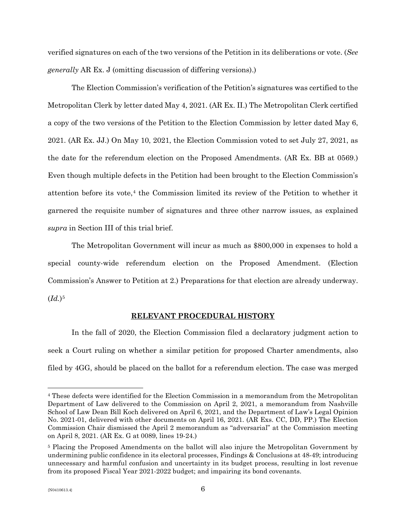verified signatures on each of the two versions of the Petition in its deliberations or vote. (*See generally* AR Ex. J (omitting discussion of differing versions).)

The Election Commission's verification of the Petition's signatures was certified to the Metropolitan Clerk by letter dated May 4, 2021. (AR Ex. II.) The Metropolitan Clerk certified a copy of the two versions of the Petition to the Election Commission by letter dated May 6, 2021. (AR Ex. JJ.) On May 10, 2021, the Election Commission voted to set July 27, 2021, as the date for the referendum election on the Proposed Amendments. (AR Ex. BB at 0569.) Even though multiple defects in the Petition had been brought to the Election Commission's attention before its vote, $4$  the Commission limited its review of the Petition to whether it garnered the requisite number of signatures and three other narrow issues, as explained *supra* in Section III of this trial brief.

The Metropolitan Government will incur as much as \$800,000 in expenses to hold a special county-wide referendum election on the Proposed Amendment. (Election Commission's Answer to Petition at 2.) Preparations for that election are already underway.  $(Id.)^5$  $(Id.)^5$ 

#### **RELEVANT PROCEDURAL HISTORY**

In the fall of 2020, the Election Commission filed a declaratory judgment action to seek a Court ruling on whether a similar petition for proposed Charter amendments, also filed by 4GG, should be placed on the ballot for a referendum election. The case was merged

<span id="page-5-0"></span><sup>4</sup> These defects were identified for the Election Commission in a memorandum from the Metropolitan Department of Law delivered to the Commission on April 2, 2021, a memorandum from Nashville School of Law Dean Bill Koch delivered on April 6, 2021, and the Department of Law's Legal Opinion No. 2021-01, delivered with other documents on April 16, 2021. (AR Exs. CC, DD, PP.) The Election Commission Chair dismissed the April 2 memorandum as "adversarial" at the Commission meeting on April 8, 2021. (AR Ex. G at 0089, lines 19-24.)

<span id="page-5-1"></span><sup>5</sup> Placing the Proposed Amendments on the ballot will also injure the Metropolitan Government by undermining public confidence in its electoral processes, Findings & Conclusions at 48-49; introducing unnecessary and harmful confusion and uncertainty in its budget process, resulting in lost revenue from its proposed Fiscal Year 2021-2022 budget; and impairing its bond covenants.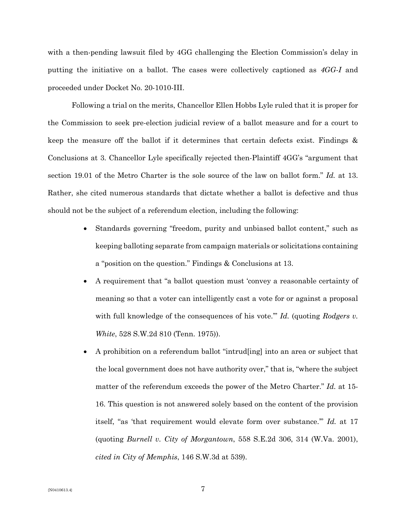with a then-pending lawsuit filed by 4GG challenging the Election Commission's delay in putting the initiative on a ballot. The cases were collectively captioned as *4GG-I* and proceeded under Docket No. 20-1010-III.

Following a trial on the merits, Chancellor Ellen Hobbs Lyle ruled that it is proper for the Commission to seek pre-election judicial review of a ballot measure and for a court to keep the measure off the ballot if it determines that certain defects exist. Findings & Conclusions at 3. Chancellor Lyle specifically rejected then-Plaintiff 4GG's "argument that section 19.01 of the Metro Charter is the sole source of the law on ballot form." *Id.* at 13. Rather, she cited numerous standards that dictate whether a ballot is defective and thus should not be the subject of a referendum election, including the following:

- Standards governing "freedom, purity and unbiased ballot content," such as keeping balloting separate from campaign materials or solicitations containing a "position on the question." Findings & Conclusions at 13.
- A requirement that "a ballot question must 'convey a reasonable certainty of meaning so that a voter can intelligently cast a vote for or against a proposal with full knowledge of the consequences of his vote.'" *Id.* (quoting *Rodgers v. White*, 528 S.W.2d 810 (Tenn. 1975)).
- A prohibition on a referendum ballot "intrud[ing] into an area or subject that the local government does not have authority over," that is, "where the subject matter of the referendum exceeds the power of the Metro Charter." *Id.* at 15- 16. This question is not answered solely based on the content of the provision itself, "as 'that requirement would elevate form over substance.'" *Id.* at 17 (quoting *Burnell v. City of Morgantown*, 558 S.E.2d 306, 314 (W.Va. 2001), *cited in City of Memphis*, 146 S.W.3d at 539).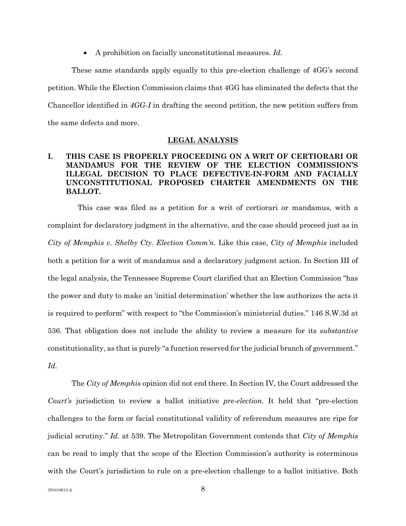• A prohibition on facially unconstitutional measures. *Id.*

These same standards apply equally to this pre-election challenge of 4GG's second petition. While the Election Commission claims that 4GG has eliminated the defects that the Chancellor identified in *4GG-I* in drafting the second petition, the new petition suffers from the same defects and more.

#### **LEGAL ANALYSIS**

# **I. THIS CASE IS PROPERLY PROCEEDING ON A WRIT OF CERTIORARI OR MANDAMUS FOR THE REVIEW OF THE ELECTION COMMISSION'S ILLEGAL DECISION TO PLACE DEFECTIVE-IN-FORM AND FACIALLY UNCONSTITUTIONAL PROPOSED CHARTER AMENDMENTS ON THE BALLOT.**

 This case was filed as a petition for a writ of certiorari or mandamus, with a complaint for declaratory judgment in the alternative, and the case should proceed just as in *City of Memphis v. Shelby Cty. Election Comm'n*. Like this case, *City of Memphis* included both a petition for a writ of mandamus and a declaratory judgment action. In Section III of the legal analysis, the Tennessee Supreme Court clarified that an Election Commission "has the power and duty to make an 'initial determination' whether the law authorizes the acts it is required to perform" with respect to "the Commission's ministerial duties." 146 S.W.3d at 536. That obligation does not include the ability to review a measure for its *substantive*  constitutionality, as that is purely "a function reserved for the judicial branch of government." *Id.*

The *City of Memphis* opinion did not end there. In Section IV, the Court addressed the *Court's* jurisdiction to review a ballot initiative *pre-election*. It held that "pre-election challenges to the form or facial constitutional validity of referendum measures are ripe for judicial scrutiny." *Id.* at 539. The Metropolitan Government contends that *City of Memphis*  can be read to imply that the scope of the Election Commission's authority is coterminous with the Court's jurisdiction to rule on a pre-election challenge to a ballot initiative. Both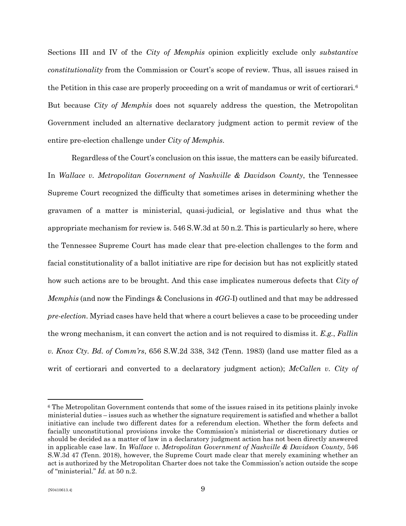Sections III and IV of the *City of Memphis* opinion explicitly exclude only *substantive constitutionality* from the Commission or Court's scope of review. Thus, all issues raised in the Petition in this case are properly proceeding on a writ of mandamus or writ of certiorari.<sup>[6](#page-8-0)</sup> But because *City of Memphis* does not squarely address the question, the Metropolitan Government included an alternative declaratory judgment action to permit review of the entire pre-election challenge under *City of Memphis*.

Regardless of the Court's conclusion on this issue, the matters can be easily bifurcated. In *Wallace v. Metropolitan Government of Nashville & Davidson County*, the Tennessee Supreme Court recognized the difficulty that sometimes arises in determining whether the gravamen of a matter is ministerial, quasi-judicial, or legislative and thus what the appropriate mechanism for review is. 546 S.W.3d at 50 n.2. This is particularly so here, where the Tennessee Supreme Court has made clear that pre-election challenges to the form and facial constitutionality of a ballot initiative are ripe for decision but has not explicitly stated how such actions are to be brought. And this case implicates numerous defects that *City of Memphis* (and now the Findings & Conclusions in *4GG-*I) outlined and that may be addressed *pre-election*. Myriad cases have held that where a court believes a case to be proceeding under the wrong mechanism, it can convert the action and is not required to dismiss it. *E.g.*, *Fallin v. Knox Cty. Bd. of Comm'rs*, 656 S.W.2d 338, 342 (Tenn. 1983) (land use matter filed as a writ of certiorari and converted to a declaratory judgment action); *McCallen v. City of* 

<span id="page-8-0"></span><sup>6</sup> The Metropolitan Government contends that some of the issues raised in its petitions plainly invoke ministerial duties – issues such as whether the signature requirement is satisfied and whether a ballot initiative can include two different dates for a referendum election. Whether the form defects and facially unconstitutional provisions invoke the Commission's ministerial or discretionary duties or should be decided as a matter of law in a declaratory judgment action has not been directly answered in applicable case law. In *Wallace v. Metropolitan Government of Nashville & Davidson County*, 546 S.W.3d 47 (Tenn. 2018), however, the Supreme Court made clear that merely examining whether an act is authorized by the Metropolitan Charter does not take the Commission's action outside the scope of "ministerial." *Id.* at 50 n.2.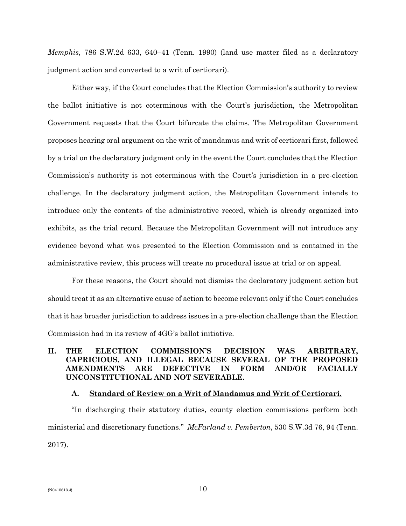*Memphis*, 786 S.W.2d 633, 640–41 (Tenn. 1990) (land use matter filed as a declaratory judgment action and converted to a writ of certiorari).

Either way, if the Court concludes that the Election Commission's authority to review the ballot initiative is not coterminous with the Court's jurisdiction, the Metropolitan Government requests that the Court bifurcate the claims. The Metropolitan Government proposes hearing oral argument on the writ of mandamus and writ of certiorari first, followed by a trial on the declaratory judgment only in the event the Court concludes that the Election Commission's authority is not coterminous with the Court's jurisdiction in a pre-election challenge. In the declaratory judgment action, the Metropolitan Government intends to introduce only the contents of the administrative record, which is already organized into exhibits, as the trial record. Because the Metropolitan Government will not introduce any evidence beyond what was presented to the Election Commission and is contained in the administrative review, this process will create no procedural issue at trial or on appeal.

For these reasons, the Court should not dismiss the declaratory judgment action but should treat it as an alternative cause of action to become relevant only if the Court concludes that it has broader jurisdiction to address issues in a pre-election challenge than the Election Commission had in its review of 4GG's ballot initiative.

# **II. THE ELECTION COMMISSION'S DECISION WAS ARBITRARY, CAPRICIOUS, AND ILLEGAL BECAUSE SEVERAL OF THE PROPOSED AMENDMENTS ARE DEFECTIVE IN FORM AND/OR FACIALLY UNCONSTITUTIONAL AND NOT SEVERABLE.**

### **A. Standard of Review on a Writ of Mandamus and Writ of Certiorari.**

"In discharging their statutory duties, county election commissions perform both ministerial and discretionary functions." *McFarland v. Pemberton*, 530 S.W.3d 76, 94 (Tenn. 2017).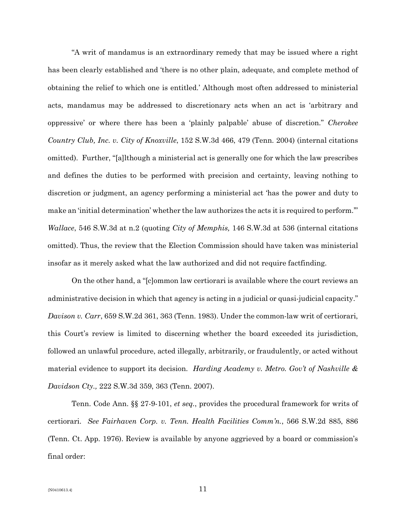"A writ of mandamus is an extraordinary remedy that may be issued where a right has been clearly established and 'there is no other plain, adequate, and complete method of obtaining the relief to which one is entitled.' Although most often addressed to ministerial acts, mandamus may be addressed to discretionary acts when an act is 'arbitrary and oppressive' or where there has been a 'plainly palpable' abuse of discretion." *Cherokee Country Club, Inc. v. City of Knoxville*, 152 S.W.3d 466, 479 (Tenn. 2004) (internal citations omitted). Further, "[a]lthough a ministerial act is generally one for which the law prescribes and defines the duties to be performed with precision and certainty, leaving nothing to discretion or judgment, an agency performing a ministerial act 'has the power and duty to make an 'initial determination' whether the law authorizes the acts it is required to perform.'" *Wallace*, 546 S.W.3d at n.2 (quoting *City of Memphis,* 146 S.W.3d at 536 (internal citations omitted). Thus, the review that the Election Commission should have taken was ministerial insofar as it merely asked what the law authorized and did not require factfinding.

On the other hand, a "[c]ommon law certiorari is available where the court reviews an administrative decision in which that agency is acting in a judicial or quasi-judicial capacity." *Davison v. Carr*, 659 S.W.2d 361, 363 (Tenn. 1983). Under the common-law writ of certiorari, this Court's review is limited to discerning whether the board exceeded its jurisdiction, followed an unlawful procedure, acted illegally, arbitrarily, or fraudulently, or acted without material evidence to support its decision. *Harding Academy v. Metro. Gov't of Nashville & Davidson Cty.,* 222 S.W.3d 359, 363 (Tenn. 2007).

Tenn. Code Ann. §§ 27-9-101, *et seq.*, provides the procedural framework for writs of certiorari. *See Fairhaven Corp. v. Tenn. Health Facilities Comm'n.*, 566 S.W.2d 885, 886 (Tenn. Ct. App. 1976). Review is available by anyone aggrieved by a board or commission's final order: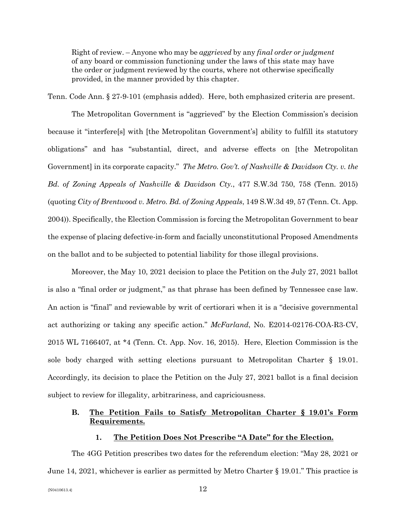Right of review. – Anyone who may be *aggrieved* by any *final order or judgment* of any board or commission functioning under the laws of this state may have the order or judgment reviewed by the courts, where not otherwise specifically provided, in the manner provided by this chapter.

Tenn. Code Ann. § 27-9-101 (emphasis added). Here, both emphasized criteria are present.

The Metropolitan Government is "aggrieved" by the Election Commission's decision because it "interfere[s] with [the Metropolitan Government's] ability to fulfill its statutory obligations" and has "substantial, direct, and adverse effects on [the Metropolitan Government] in its corporate capacity." *The Metro. Gov't. of Nashville & Davidson Cty. v. the Bd. of Zoning Appeals of Nashville & Davidson Cty.*, 477 S.W.3d 750, 758 (Tenn. 2015) (quoting *City of Brentwood v. Metro. Bd. of Zoning Appeals*, 149 S.W.3d 49, 57 (Tenn. Ct. App. 2004)). Specifically, the Election Commission is forcing the Metropolitan Government to bear the expense of placing defective-in-form and facially unconstitutional Proposed Amendments on the ballot and to be subjected to potential liability for those illegal provisions.

Moreover, the May 10, 2021 decision to place the Petition on the July 27, 2021 ballot is also a "final order or judgment," as that phrase has been defined by Tennessee case law. An action is "final" and reviewable by writ of certiorari when it is a "decisive governmental act authorizing or taking any specific action." *McFarland*, No. E2014-02176-COA-R3-CV, 2015 WL 7166407, at \*4 (Tenn. Ct. App. Nov. 16, 2015). Here, Election Commission is the sole body charged with setting elections pursuant to Metropolitan Charter § 19.01. Accordingly, its decision to place the Petition on the July 27, 2021 ballot is a final decision subject to review for illegality, arbitrariness, and capriciousness.

# **B. The Petition Fails to Satisfy Metropolitan Charter § 19.01's Form Requirements.**

#### **1. The Petition Does Not Prescribe "A Date" for the Election.**

The 4GG Petition prescribes two dates for the referendum election: "May 28, 2021 or June 14, 2021, whichever is earlier as permitted by Metro Charter § 19.01." This practice is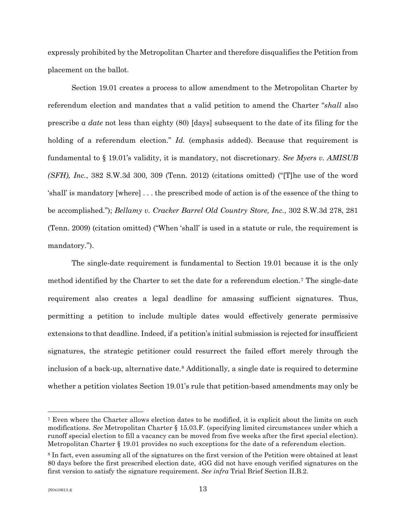expressly prohibited by the Metropolitan Charter and therefore disqualifies the Petition from placement on the ballot.

Section 19.01 creates a process to allow amendment to the Metropolitan Charter by referendum election and mandates that a valid petition to amend the Charter "*shall* also prescribe *a date* not less than eighty (80) [days] subsequent to the date of its filing for the holding of a referendum election." *Id.* (emphasis added). Because that requirement is fundamental to § 19.01's validity, it is mandatory, not discretionary. *See Myers v. AMISUB (SFH), Inc.*, 382 S.W.3d 300, 309 (Tenn. 2012) (citations omitted) ("[T]he use of the word 'shall' is mandatory [where] . . . the prescribed mode of action is of the essence of the thing to be accomplished."); *Bellamy v. Cracker Barrel Old Country Store, Inc.*, 302 S.W.3d 278, 281 (Tenn. 2009) (citation omitted) ("When 'shall' is used in a statute or rule, the requirement is mandatory.").

The single-date requirement is fundamental to Section 19.01 because it is the only method identified by the Charter to set the date for a referendum election.[7](#page-12-0) The single-date requirement also creates a legal deadline for amassing sufficient signatures. Thus, permitting a petition to include multiple dates would effectively generate permissive extensions to that deadline. Indeed, if a petition's initial submission is rejected for insufficient signatures, the strategic petitioner could resurrect the failed effort merely through the inclusion of a back-up, alternative date.<sup>[8](#page-12-1)</sup> Additionally, a single date is required to determine whether a petition violates Section 19.01's rule that petition-based amendments may only be

<span id="page-12-0"></span><sup>7</sup> Even where the Charter allows election dates to be modified, it is explicit about the limits on such modifications. *See* Metropolitan Charter § 15.03.F. (specifying limited circumstances under which a runoff special election to fill a vacancy can be moved from five weeks after the first special election). Metropolitan Charter § 19.01 provides no such exceptions for the date of a referendum election.

<span id="page-12-1"></span><sup>8</sup> In fact, even assuming all of the signatures on the first version of the Petition were obtained at least 80 days before the first prescribed election date, 4GG did not have enough verified signatures on the first version to satisfy the signature requirement. *See infra* Trial Brief Section II.B.2.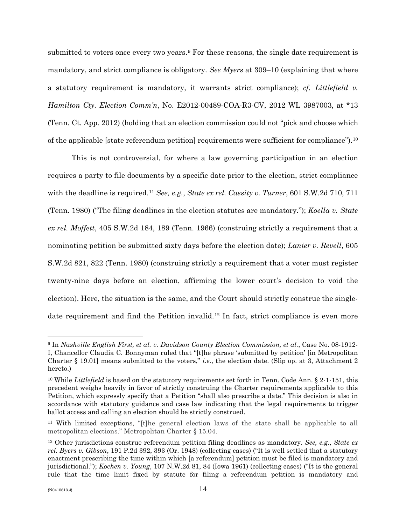submitted to voters once every two years.<sup>[9](#page-13-0)</sup> For these reasons, the single date requirement is mandatory, and strict compliance is obligatory. *See Myers* at 309–10 (explaining that where a statutory requirement is mandatory, it warrants strict compliance); *cf. Littlefield v. Hamilton Cty. Election Comm'n*, No. E2012-00489-COA-R3-CV, 2012 WL 3987003, at \*13 (Tenn. Ct. App. 2012) (holding that an election commission could not "pick and choose which of the applicable [state referendum petition] requirements were sufficient for compliance").[10](#page-13-1)

This is not controversial, for where a law governing participation in an election requires a party to file documents by a specific date prior to the election, strict compliance with the deadline is required.[11](#page-13-2) *See, e.g.*, *State ex rel. Cassity v. Turner*, 601 S.W.2d 710, 711 (Tenn. 1980) ("The filing deadlines in the election statutes are mandatory."); *Koella v. State ex rel. Moffett*, 405 S.W.2d 184, 189 (Tenn. 1966) (construing strictly a requirement that a nominating petition be submitted sixty days before the election date); *Lanier v. Revell*, 605 S.W.2d 821, 822 (Tenn. 1980) (construing strictly a requirement that a voter must register twenty-nine days before an election, affirming the lower court's decision to void the election). Here, the situation is the same, and the Court should strictly construe the single-date requirement and find the Petition invalid.<sup>[12](#page-13-3)</sup> In fact, strict compliance is even more

<span id="page-13-0"></span><sup>9</sup> In *Nashville English First, et al. v. Davidson County Election Commission, et al.*, Case No. 08-1912- I, Chancellor Claudia C. Bonnyman ruled that "[t]he phrase 'submitted by petition' [in Metropolitan Charter § 19.01] means submitted to the voters," *i.e.*, the election date. (Slip op. at 3, Attachment 2 hereto.)

<span id="page-13-1"></span><sup>10</sup> While *Littlefield* is based on the statutory requirements set forth in Tenn. Code Ann. § 2-1-151, this precedent weighs heavily in favor of strictly construing the Charter requirements applicable to this Petition, which expressly specify that a Petition "shall also prescribe a date." This decision is also in accordance with statutory guidance and case law indicating that the legal requirements to trigger ballot access and calling an election should be strictly construed.

<span id="page-13-2"></span><sup>11</sup> With limited exceptions, "[t]he general election laws of the state shall be applicable to all metropolitan elections." Metropolitan Charter § 15.04.

<span id="page-13-3"></span><sup>12</sup> Other jurisdictions construe referendum petition filing deadlines as mandatory. *See, e.g.*, *State ex rel. Byers v. Gibson*, 191 P.2d 392, 393 (Or. 1948) (collecting cases) ("It is well settled that a statutory enactment prescribing the time within which [a referendum] petition must be filed is mandatory and jurisdictional."); *Kochen v. Young*, 107 N.W.2d 81, 84 (Iowa 1961) (collecting cases) ("It is the general rule that the time limit fixed by statute for filing a referendum petition is mandatory and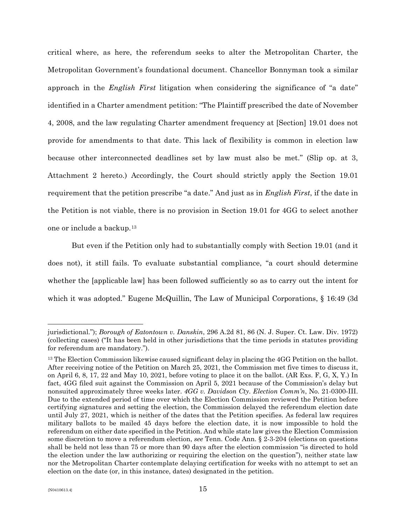critical where, as here, the referendum seeks to alter the Metropolitan Charter, the Metropolitan Government's foundational document. Chancellor Bonnyman took a similar approach in the *English First* litigation when considering the significance of "a date" identified in a Charter amendment petition: "The Plaintiff prescribed the date of November 4, 2008, and the law regulating Charter amendment frequency at [Section] 19.01 does not provide for amendments to that date. This lack of flexibility is common in election law because other interconnected deadlines set by law must also be met." (Slip op. at 3, Attachment 2 hereto.) Accordingly, the Court should strictly apply the Section 19.01 requirement that the petition prescribe "a date." And just as in *English First*, if the date in the Petition is not viable, there is no provision in Section 19.01 for 4GG to select another one or include a backup.[13](#page-14-0)

But even if the Petition only had to substantially comply with Section 19.01 (and it does not), it still fails. To evaluate substantial compliance, "a court should determine whether the [applicable law] has been followed sufficiently so as to carry out the intent for which it was adopted." Eugene McQuillin, The Law of Municipal Corporations, § 16:49 (3d)

jurisdictional."); *Borough of Eatontown v. Danskin*, 296 A.2d 81, 86 (N. J. Super. Ct. Law. Div. 1972) (collecting cases) ("It has been held in other jurisdictions that the time periods in statutes providing for referendum are mandatory.").

<span id="page-14-0"></span><sup>&</sup>lt;sup>13</sup> The Election Commission likewise caused significant delay in placing the 4GG Petition on the ballot. After receiving notice of the Petition on March 25, 2021, the Commission met five times to discuss it, on April 6, 8, 17, 22 and May 10, 2021, before voting to place it on the ballot. (AR Exs. F, G, X, Y.) In fact, 4GG filed suit against the Commission on April 5, 2021 because of the Commission's delay but nonsuited approximately three weeks later. *4GG v. Davidson Cty. Election Comm'n*, No. 21-0300-III. Due to the extended period of time over which the Election Commission reviewed the Petition before certifying signatures and setting the election, the Commission delayed the referendum election date until July 27, 2021, which is neither of the dates that the Petition specifies. As federal law requires military ballots to be mailed 45 days before the election date, it is now impossible to hold the referendum on either date specified in the Petition. And while state law gives the Election Commission some discretion to move a referendum election, *see* Tenn. Code Ann. § 2-3-204 (elections on questions shall be held not less than 75 or more than 90 days after the election commission "is directed to hold the election under the law authorizing or requiring the election on the question"), neither state law nor the Metropolitan Charter contemplate delaying certification for weeks with no attempt to set an election on the date (or, in this instance, dates) designated in the petition.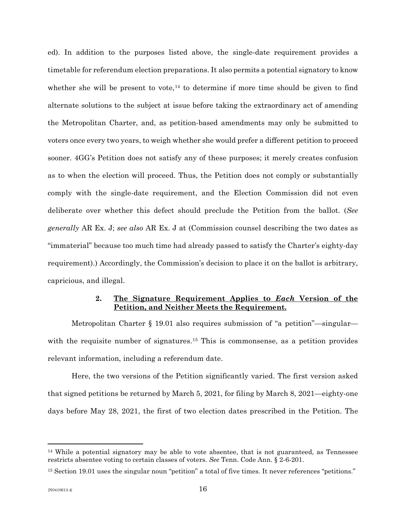ed). In addition to the purposes listed above, the single-date requirement provides a timetable for referendum election preparations. It also permits a potential signatory to know whether she will be present to vote, $^{14}$  $^{14}$  $^{14}$  to determine if more time should be given to find alternate solutions to the subject at issue before taking the extraordinary act of amending the Metropolitan Charter, and, as petition-based amendments may only be submitted to voters once every two years, to weigh whether she would prefer a different petition to proceed sooner. 4GG's Petition does not satisfy any of these purposes; it merely creates confusion as to when the election will proceed. Thus, the Petition does not comply or substantially comply with the single-date requirement, and the Election Commission did not even deliberate over whether this defect should preclude the Petition from the ballot. (*See generally* AR Ex. J; *see also* AR Ex. J at (Commission counsel describing the two dates as "immaterial" because too much time had already passed to satisfy the Charter's eighty-day requirement).) Accordingly, the Commission's decision to place it on the ballot is arbitrary, capricious, and illegal.

### **2. The Signature Requirement Applies to** *Each* **Version of the Petition, and Neither Meets the Requirement.**

Metropolitan Charter § 19.01 also requires submission of "a petition"—singular— with the requisite number of signatures.<sup>[15](#page-15-1)</sup> This is commonsense, as a petition provides relevant information, including a referendum date.

Here, the two versions of the Petition significantly varied. The first version asked that signed petitions be returned by March 5, 2021, for filing by March 8, 2021—eighty-one days before May 28, 2021, the first of two election dates prescribed in the Petition. The

<span id="page-15-0"></span><sup>14</sup> While a potential signatory may be able to vote absentee, that is not guaranteed, as Tennessee restricts absentee voting to certain classes of voters. *See* Tenn. Code Ann. § 2-6-201.

<span id="page-15-1"></span><sup>15</sup> Section 19.01 uses the singular noun "petition" a total of five times. It never references "petitions."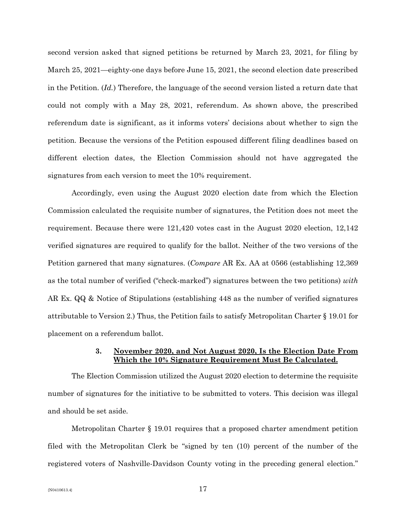second version asked that signed petitions be returned by March 23, 2021, for filing by March 25, 2021—eighty-one days before June 15, 2021, the second election date prescribed in the Petition. (*Id.*) Therefore, the language of the second version listed a return date that could not comply with a May 28, 2021, referendum. As shown above, the prescribed referendum date is significant, as it informs voters' decisions about whether to sign the petition. Because the versions of the Petition espoused different filing deadlines based on different election dates, the Election Commission should not have aggregated the signatures from each version to meet the 10% requirement.

Accordingly, even using the August 2020 election date from which the Election Commission calculated the requisite number of signatures, the Petition does not meet the requirement. Because there were 121,420 votes cast in the August 2020 election, 12,142 verified signatures are required to qualify for the ballot. Neither of the two versions of the Petition garnered that many signatures. (*Compare* AR Ex. AA at 0566 (establishing 12,369 as the total number of verified ("check-marked") signatures between the two petitions) *with*  AR Ex. QQ & Notice of Stipulations (establishing 448 as the number of verified signatures attributable to Version 2.) Thus, the Petition fails to satisfy Metropolitan Charter § 19.01 for placement on a referendum ballot.

# **3. November 2020, and Not August 2020, Is the Election Date From Which the 10% Signature Requirement Must Be Calculated.**

The Election Commission utilized the August 2020 election to determine the requisite number of signatures for the initiative to be submitted to voters. This decision was illegal and should be set aside.

Metropolitan Charter § 19.01 requires that a proposed charter amendment petition filed with the Metropolitan Clerk be "signed by ten (10) percent of the number of the registered voters of Nashville-Davidson County voting in the preceding general election."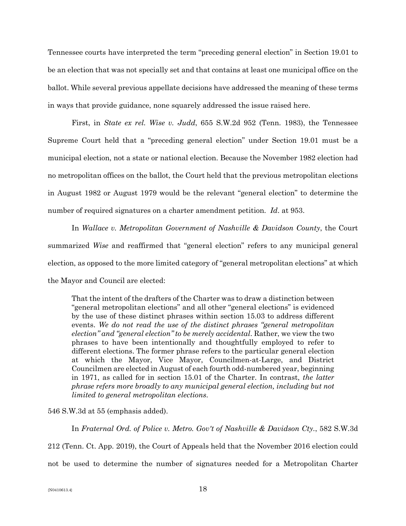Tennessee courts have interpreted the term "preceding general election" in Section 19.01 to be an election that was not specially set and that contains at least one municipal office on the ballot. While several previous appellate decisions have addressed the meaning of these terms in ways that provide guidance, none squarely addressed the issue raised here.

First, in *State ex rel. Wise v. Judd*, 655 S.W.2d 952 (Tenn. 1983), the Tennessee Supreme Court held that a "preceding general election" under Section 19.01 must be a municipal election, not a state or national election. Because the November 1982 election had no metropolitan offices on the ballot, the Court held that the previous metropolitan elections in August 1982 or August 1979 would be the relevant "general election" to determine the number of required signatures on a charter amendment petition. *Id*. at 953.

In *Wallace v. Metropolitan Government of Nashville & Davidson County*, the Court summarized *Wise* and reaffirmed that "general election" refers to any municipal general election, as opposed to the more limited category of "general metropolitan elections" at which the Mayor and Council are elected:

That the intent of the drafters of the Charter was to draw a distinction between "general metropolitan elections" and all other "general elections" is evidenced by the use of these distinct phrases within section 15.03 to address different events. *We do not read the use of the distinct phrases "general metropolitan election" and "general election" to be merely accidental*. Rather, we view the two phrases to have been intentionally and thoughtfully employed to refer to different elections. The former phrase refers to the particular general election at which the Mayor, Vice Mayor, Councilmen-at-Large, and District Councilmen are elected in August of each fourth odd-numbered year, beginning in 1971, as called for in section 15.01 of the Charter. In contrast, *the latter phrase refers more broadly to any municipal general election, including but not limited to general metropolitan elections*.

546 S.W.3d at 55 (emphasis added).

In *Fraternal Ord. of Police v. Metro. Gov't of Nashville & Davidson Cty.*, 582 S.W.3d

212 (Tenn. Ct. App. 2019), the Court of Appeals held that the November 2016 election could

not be used to determine the number of signatures needed for a Metropolitan Charter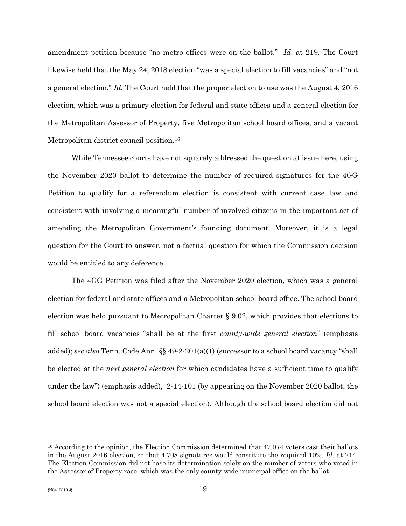amendment petition because "no metro offices were on the ballot." *Id*. at 219. The Court likewise held that the May 24, 2018 election "was a special election to fill vacancies" and "not a general election." *Id.* The Court held that the proper election to use was the August 4, 2016 election, which was a primary election for federal and state offices and a general election for the Metropolitan Assessor of Property, five Metropolitan school board offices, and a vacant Metropolitan district council position.<sup>[16](#page-18-0)</sup>

While Tennessee courts have not squarely addressed the question at issue here, using the November 2020 ballot to determine the number of required signatures for the 4GG Petition to qualify for a referendum election is consistent with current case law and consistent with involving a meaningful number of involved citizens in the important act of amending the Metropolitan Government's founding document. Moreover, it is a legal question for the Court to answer, not a factual question for which the Commission decision would be entitled to any deference.

The 4GG Petition was filed after the November 2020 election, which was a general election for federal and state offices and a Metropolitan school board office. The school board election was held pursuant to Metropolitan Charter § 9.02, which provides that elections to fill school board vacancies "shall be at the first *county-wide general election*" (emphasis added); *see also* Tenn. Code Ann. §§ 49-2-201(a)(1) (successor to a school board vacancy "shall be elected at the *next general election* for which candidates have a sufficient time to qualify under the law") (emphasis added), 2-14-101 (by appearing on the November 2020 ballot, the school board election was not a special election). Although the school board election did not

<span id="page-18-0"></span><sup>&</sup>lt;sup>16</sup> According to the opinion, the Election Commission determined that 47,074 voters cast their ballots in the August 2016 election, so that 4,708 signatures would constitute the required 10%. *Id*. at 214. The Election Commission did not base its determination solely on the number of voters who voted in the Assessor of Property race, which was the only county-wide municipal office on the ballot.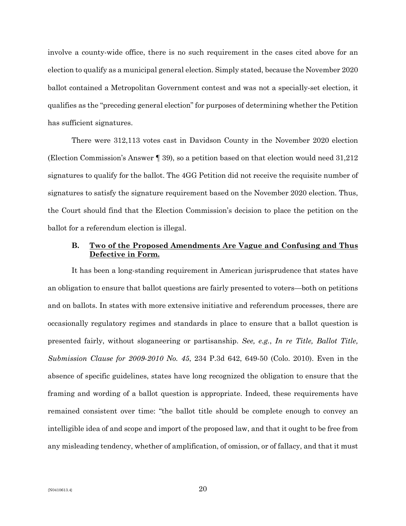involve a county-wide office, there is no such requirement in the cases cited above for an election to qualify as a municipal general election. Simply stated, because the November 2020 ballot contained a Metropolitan Government contest and was not a specially-set election, it qualifies as the "preceding general election" for purposes of determining whether the Petition has sufficient signatures.

There were 312,113 votes cast in Davidson County in the November 2020 election (Election Commission's Answer ¶ 39), so a petition based on that election would need 31,212 signatures to qualify for the ballot. The 4GG Petition did not receive the requisite number of signatures to satisfy the signature requirement based on the November 2020 election. Thus, the Court should find that the Election Commission's decision to place the petition on the ballot for a referendum election is illegal.

### **B. Two of the Proposed Amendments Are Vague and Confusing and Thus Defective in Form.**

It has been a long-standing requirement in American jurisprudence that states have an obligation to ensure that ballot questions are fairly presented to voters—both on petitions and on ballots. In states with more extensive initiative and referendum processes, there are occasionally regulatory regimes and standards in place to ensure that a ballot question is presented fairly, without sloganeering or partisanship. *See, e.g.*, *In re Title, Ballot Title, Submission Clause for 2009-2010 No. 45*, 234 P.3d 642, 649-50 (Colo. 2010). Even in the absence of specific guidelines, states have long recognized the obligation to ensure that the framing and wording of a ballot question is appropriate. Indeed, these requirements have remained consistent over time: "the ballot title should be complete enough to convey an intelligible idea of and scope and import of the proposed law, and that it ought to be free from any misleading tendency, whether of amplification, of omission, or of fallacy, and that it must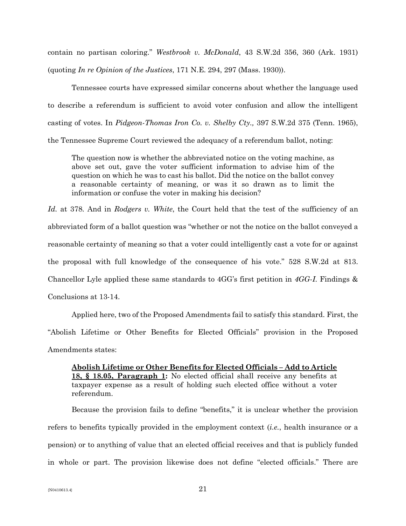contain no partisan coloring." *Westbrook v. McDonald*, 43 S.W.2d 356, 360 (Ark. 1931) (quoting *In re Opinion of the Justices*, 171 N.E. 294, 297 (Mass. 1930)).

Tennessee courts have expressed similar concerns about whether the language used to describe a referendum is sufficient to avoid voter confusion and allow the intelligent casting of votes. In *Pidgeon-Thomas Iron Co. v. Shelby Cty.,* 397 S.W.2d 375 (Tenn. 1965), the Tennessee Supreme Court reviewed the adequacy of a referendum ballot, noting:

The question now is whether the abbreviated notice on the voting machine, as above set out, gave the voter sufficient information to advise him of the question on which he was to cast his ballot. Did the notice on the ballot convey a reasonable certainty of meaning, or was it so drawn as to limit the information or confuse the voter in making his decision?

*Id.* at 378. And in *Rodgers v. White*, the Court held that the test of the sufficiency of an abbreviated form of a ballot question was "whether or not the notice on the ballot conveyed a reasonable certainty of meaning so that a voter could intelligently cast a vote for or against the proposal with full knowledge of the consequence of his vote." 528 S.W.2d at 813. Chancellor Lyle applied these same standards to 4GG's first petition in *4GG-I*. Findings & Conclusions at 13-14.

Applied here, two of the Proposed Amendments fail to satisfy this standard. First, the "Abolish Lifetime or Other Benefits for Elected Officials" provision in the Proposed Amendments states:

**Abolish Lifetime or Other Benefits for Elected Officials – Add to Article 18, § 18.05, Paragraph 1:** No elected official shall receive any benefits at taxpayer expense as a result of holding such elected office without a voter referendum.

Because the provision fails to define "benefits," it is unclear whether the provision refers to benefits typically provided in the employment context (*i.e.*, health insurance or a pension) or to anything of value that an elected official receives and that is publicly funded in whole or part. The provision likewise does not define "elected officials." There are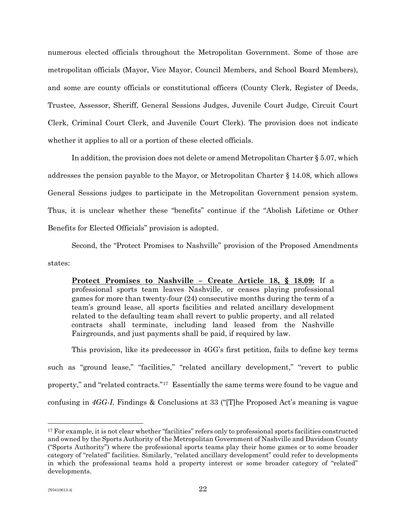numerous elected officials throughout the Metropolitan Government. Some of those are metropolitan officials (Mayor, Vice Mayor, Council Members, and School Board Members), and some are county officials or constitutional officers (County Clerk, Register of Deeds, Trustee, Assessor, Sheriff, General Sessions Judges, Juvenile Court Judge, Circuit Court Clerk, Criminal Court Clerk, and Juvenile Court Clerk). The provision does not indicate whether it applies to all or a portion of these elected officials.

In addition, the provision does not delete or amend Metropolitan Charter § 5.07, which addresses the pension payable to the Mayor, or Metropolitan Charter § 14.08, which allows General Sessions judges to participate in the Metropolitan Government pension system. Thus, it is unclear whether these "benefits" continue if the "Abolish Lifetime or Other Benefits for Elected Officials" provision is adopted.

Second, the "Protect Promises to Nashville" provision of the Proposed Amendments states:

**Protect Promises to Nashville – Create Article 18, § 18.09:** If a professional sports team leaves Nashville, or ceases playing professional games for more than twenty-four (24) consecutive months during the term of a team's ground lease, all sports facilities and related ancillary development related to the defaulting team shall revert to public property, and all related contracts shall terminate, including land leased from the Nashville Fairgrounds, and just payments shall be paid, if required by law.

This provision, like its predecessor in 4GG's first petition, fails to define key terms such as "ground lease," "facilities," "related ancillary development," "revert to public property," and "related contracts."[17](#page-21-0) Essentially the same terms were found to be vague and confusing in *4GG-I*. Findings & Conclusions at 33 ("[T]he Proposed Act's meaning is vague

<span id="page-21-0"></span><sup>17</sup> For example, it is not clear whether "facilities" refers only to professional sports facilities constructed and owned by the Sports Authority of the Metropolitan Government of Nashville and Davidson County ("Sports Authority") where the professional sports teams play their home games or to some broader category of "related" facilities. Similarly, "related ancillary development" could refer to developments in which the professional teams hold a property interest or some broader category of "related" developments.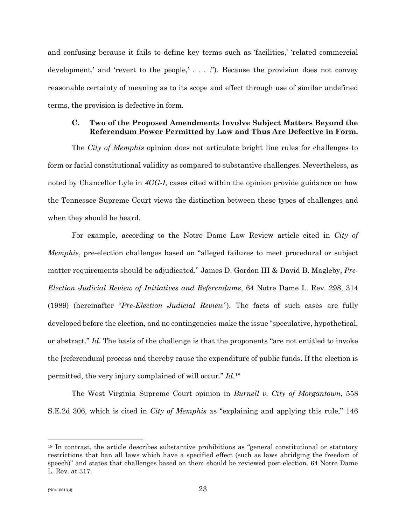and confusing because it fails to define key terms such as 'facilities,' 'related commercial development,' and 'revert to the people,' . . . ."). Because the provision does not convey reasonable certainty of meaning as to its scope and effect through use of similar undefined terms, the provision is defective in form.

### **C. Two of the Proposed Amendments Involve Subject Matters Beyond the Referendum Power Permitted by Law and Thus Are Defective in Form.**

The *City of Memphis* opinion does not articulate bright line rules for challenges to form or facial constitutional validity as compared to substantive challenges. Nevertheless, as noted by Chancellor Lyle in *4GG-I*, cases cited within the opinion provide guidance on how the Tennessee Supreme Court views the distinction between these types of challenges and when they should be heard.

For example, according to the Notre Dame Law Review article cited in *City of Memphis*, pre-election challenges based on "alleged failures to meet procedural or subject matter requirements should be adjudicated." James D. Gordon III & David B. Magleby, *Pre-Election Judicial Review of Initiatives and Referendums*, 64 Notre Dame L. Rev. 298, 314 (1989) (hereinafter "*Pre-Election Judicial Review*"). The facts of such cases are fully developed before the election, and no contingencies make the issue "speculative, hypothetical, or abstract." *Id*. The basis of the challenge is that the proponents "are not entitled to invoke the [referendum] process and thereby cause the expenditure of public funds. If the election is permitted, the very injury complained of will occur." *Id*.[18](#page-22-0)

The West Virginia Supreme Court opinion in *Burnell v. City of Morgantown*, 558 S.E.2d 306, which is cited in *City of Memphis* as "explaining and applying this rule," 146

<span id="page-22-0"></span><sup>18</sup> In contrast, the article describes substantive prohibitions as "general constitutional or statutory restrictions that ban all laws which have a specified effect (such as laws abridging the freedom of speech)" and states that challenges based on them should be reviewed post-election. 64 Notre Dame L. Rev. at 317.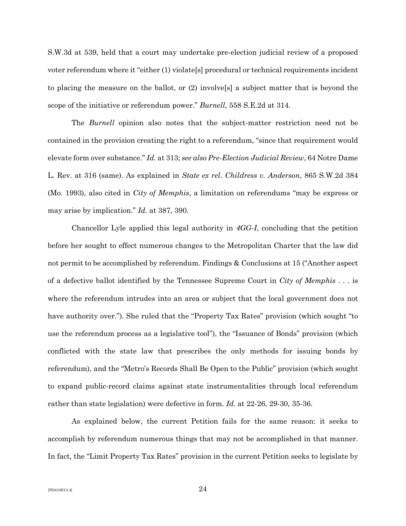S.W.3d at 539, held that a court may undertake pre-election judicial review of a proposed voter referendum where it "either (1) violate[s] procedural or technical requirements incident to placing the measure on the ballot, or (2) involve[s] a subject matter that is beyond the scope of the initiative or referendum power." *Burnell*, 558 S.E.2d at 314.

The *Burnell* opinion also notes that the subject-matter restriction need not be contained in the provision creating the right to a referendum, "since that requirement would elevate form over substance." *Id.* at 313; *see also Pre-Election Judicial Review*, 64 Notre Dame L. Rev. at 316 (same). As explained in *State ex rel. Childress v. Anderson*, 865 S.W.2d 384 (Mo. 1993), also cited in *City of Memphis*, a limitation on referendums "may be express or may arise by implication." *Id.* at 387, 390.

Chancellor Lyle applied this legal authority in *4GG-I*, concluding that the petition before her sought to effect numerous changes to the Metropolitan Charter that the law did not permit to be accomplished by referendum. Findings & Conclusions at 15 ("Another aspect of a defective ballot identified by the Tennessee Supreme Court in *City of Memphis* . . . is where the referendum intrudes into an area or subject that the local government does not have authority over."). She ruled that the "Property Tax Rates" provision (which sought "to use the referendum process as a legislative tool"), the "Issuance of Bonds" provision (which conflicted with the state law that prescribes the only methods for issuing bonds by referendum), and the "Metro's Records Shall Be Open to the Public" provision (which sought to expand public-record claims against state instrumentalities through local referendum rather than state legislation) were defective in form. *Id.* at 22-26, 29-30, 35-36.

As explained below, the current Petition fails for the same reason: it seeks to accomplish by referendum numerous things that may not be accomplished in that manner. In fact, the "Limit Property Tax Rates" provision in the current Petition seeks to legislate by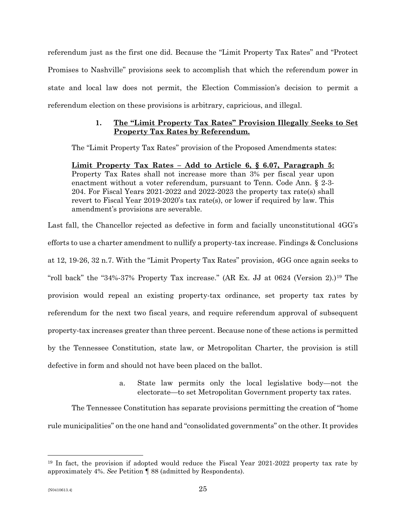referendum just as the first one did. Because the "Limit Property Tax Rates" and "Protect Promises to Nashville" provisions seek to accomplish that which the referendum power in state and local law does not permit, the Election Commission's decision to permit a referendum election on these provisions is arbitrary, capricious, and illegal.

# **1. The "Limit Property Tax Rates" Provision Illegally Seeks to Set Property Tax Rates by Referendum.**

The "Limit Property Tax Rates" provision of the Proposed Amendments states:

**Limit Property Tax Rates – Add to Article 6, § 6.07, Paragraph 5:** Property Tax Rates shall not increase more than 3% per fiscal year upon enactment without a voter referendum, pursuant to Tenn. Code Ann. § 2-3- 204. For Fiscal Years 2021-2022 and 2022-2023 the property tax rate(s) shall revert to Fiscal Year 2019-2020's tax rate(s), or lower if required by law. This amendment's provisions are severable.

Last fall, the Chancellor rejected as defective in form and facially unconstitutional 4GG's efforts to use a charter amendment to nullify a property-tax increase. Findings & Conclusions at 12, 19-26, 32 n.7. With the "Limit Property Tax Rates" provision, 4GG once again seeks to "roll back" the "34%-37% Property Tax increase." (AR Ex. JJ at 0624 (Version 2).)[19](#page-24-0) The provision would repeal an existing property-tax ordinance, set property tax rates by referendum for the next two fiscal years, and require referendum approval of subsequent property-tax increases greater than three percent. Because none of these actions is permitted by the Tennessee Constitution, state law, or Metropolitan Charter, the provision is still defective in form and should not have been placed on the ballot.

> a. State law permits only the local legislative body—not the electorate—to set Metropolitan Government property tax rates.

The Tennessee Constitution has separate provisions permitting the creation of "home rule municipalities" on the one hand and "consolidated governments" on the other. It provides

<span id="page-24-0"></span><sup>19</sup> In fact, the provision if adopted would reduce the Fiscal Year 2021-2022 property tax rate by approximately 4%. *See* Petition ¶ 88 (admitted by Respondents).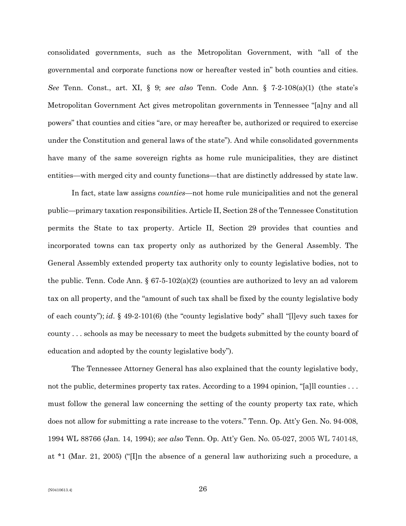consolidated governments, such as the Metropolitan Government, with "all of the governmental and corporate functions now or hereafter vested in" both counties and cities. *See* Tenn. Const., art. XI, § 9; *see also* Tenn. Code Ann. § 7-2-108(a)(1) (the state's Metropolitan Government Act gives metropolitan governments in Tennessee "[a]ny and all powers" that counties and cities "are, or may hereafter be, authorized or required to exercise under the Constitution and general laws of the state"). And while consolidated governments have many of the same sovereign rights as home rule municipalities, they are distinct entities—with merged city and county functions—that are distinctly addressed by state law.

In fact, state law assigns *counties*—not home rule municipalities and not the general public—primary taxation responsibilities. Article II, Section 28 of the Tennessee Constitution permits the State to tax property. Article II, Section 29 provides that counties and incorporated towns can tax property only as authorized by the General Assembly. The General Assembly extended property tax authority only to county legislative bodies, not to the public. Tenn. Code Ann.  $\S 67-5-102(a)(2)$  (counties are authorized to levy an ad valorem tax on all property, and the "amount of such tax shall be fixed by the county legislative body of each county"); *id*. § 49-2-101(6) (the "county legislative body" shall "[l]evy such taxes for county . . . schools as may be necessary to meet the budgets submitted by the county board of education and adopted by the county legislative body").

The Tennessee Attorney General has also explained that the county legislative body, not the public, determines property tax rates. According to a 1994 opinion, "[a]ll counties ... must follow the general law concerning the setting of the county property tax rate, which does not allow for submitting a rate increase to the voters." Tenn. Op. Att'y Gen. No. 94-008, 1994 WL 88766 (Jan. 14, 1994); *see also* Tenn. Op. Att'y Gen. No. 05-027, 2005 WL 740148, at \*1 (Mar. 21, 2005) ("[I]n the absence of a general law authorizing such a procedure, a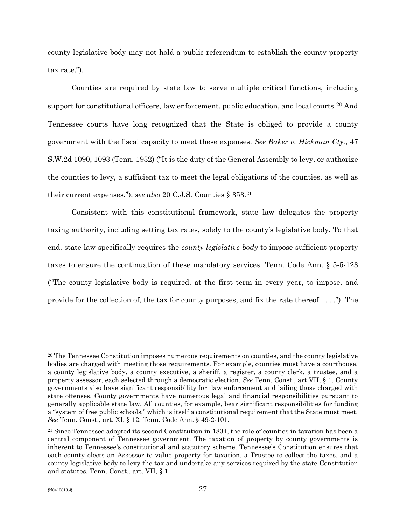county legislative body may not hold a public referendum to establish the county property tax rate.").

Counties are required by state law to serve multiple critical functions, including support for constitutional officers, law enforcement, public education, and local courts.<sup>[20](#page-26-0)</sup> And Tennessee courts have long recognized that the State is obliged to provide a county government with the fiscal capacity to meet these expenses. *See Baker v. Hickman Cty.*, 47 S.W.2d 1090, 1093 (Tenn. 1932) ("It is the duty of the General Assembly to levy, or authorize the counties to levy, a sufficient tax to meet the legal obligations of the counties, as well as their current expenses."); *see also* 20 C.J.S. Counties § 353.[21](#page-26-1)

Consistent with this constitutional framework, state law delegates the property taxing authority, including setting tax rates, solely to the county's legislative body. To that end, state law specifically requires the *county legislative body* to impose sufficient property taxes to ensure the continuation of these mandatory services. Tenn. Code Ann. § 5-5-123 ("The county legislative body is required, at the first term in every year, to impose, and provide for the collection of, the tax for county purposes, and fix the rate thereof  $\dots$ . The

<span id="page-26-0"></span><sup>&</sup>lt;sup>20</sup> The Tennessee Constitution imposes numerous requirements on counties, and the county legislative bodies are charged with meeting those requirements. For example, counties must have a courthouse, a county legislative body, a county executive, a sheriff, a register, a county clerk, a trustee, and a property assessor, each selected through a democratic election. *See* Tenn. Const., art VII, § 1. County governments also have significant responsibility for law enforcement and jailing those charged with state offenses. County governments have numerous legal and financial responsibilities pursuant to generally applicable state law. All counties, for example, bear significant responsibilities for funding a "system of free public schools," which is itself a constitutional requirement that the State must meet. *See* Tenn. Const., art. XI, § 12; Tenn. Code Ann. § 49-2-101.

<span id="page-26-1"></span><sup>21</sup> Since Tennessee adopted its second Constitution in 1834, the role of counties in taxation has been a central component of Tennessee government. The taxation of property by county governments is inherent to Tennessee's constitutional and statutory scheme. Tennessee's Constitution ensures that each county elects an Assessor to value property for taxation, a Trustee to collect the taxes, and a county legislative body to levy the tax and undertake any services required by the state Constitution and statutes. Tenn. Const., art. VII, § 1.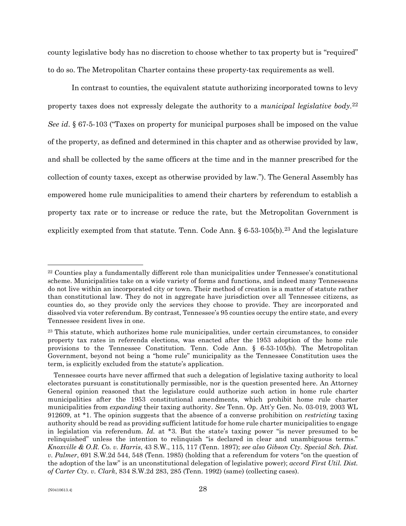county legislative body has no discretion to choose whether to tax property but is "required" to do so. The Metropolitan Charter contains these property-tax requirements as well.

In contrast to counties, the equivalent statute authorizing incorporated towns to levy property taxes does not expressly delegate the authority to a *municipal legislative body*.[22](#page-27-0) *See id*. § 67-5-103 ("Taxes on property for municipal purposes shall be imposed on the value of the property, as defined and determined in this chapter and as otherwise provided by law, and shall be collected by the same officers at the time and in the manner prescribed for the collection of county taxes, except as otherwise provided by law."). The General Assembly has empowered home rule municipalities to amend their charters by referendum to establish a property tax rate or to increase or reduce the rate, but the Metropolitan Government is explicitly exempted from that statute. Tenn. Code Ann.  $\S 6-53-105(b)$ . [23](#page-27-1) And the legislature

<span id="page-27-0"></span><sup>22</sup> Counties play a fundamentally different role than municipalities under Tennessee's constitutional scheme. Municipalities take on a wide variety of forms and functions, and indeed many Tennesseans do not live within an incorporated city or town. Their method of creation is a matter of statute rather than constitutional law. They do not in aggregate have jurisdiction over all Tennessee citizens, as counties do, so they provide only the services they choose to provide. They are incorporated and dissolved via voter referendum. By contrast, Tennessee's 95 counties occupy the entire state, and every Tennessee resident lives in one.

<span id="page-27-1"></span><sup>23</sup> This statute, which authorizes home rule municipalities, under certain circumstances, to consider property tax rates in referenda elections, was enacted after the 1953 adoption of the home rule provisions to the Tennessee Constitution. Tenn. Code Ann. § 6-53-105(b). The Metropolitan Government, beyond not being a "home rule" municipality as the Tennessee Constitution uses the term, is explicitly excluded from the statute's application.

Tennessee courts have never affirmed that such a delegation of legislative taxing authority to local electorates pursuant is constitutionally permissible, nor is the question presented here. An Attorney General opinion reasoned that the legislature could authorize such action in home rule charter municipalities after the 1953 constitutional amendments, which prohibit home rule charter municipalities from *expanding* their taxing authority. *See* Tenn. Op. Att'y Gen. No. 03-019, 2003 WL 912609, at \*1. The opinion suggests that the absence of a converse prohibition on *restricting* taxing authority should be read as providing sufficient latitude for home rule charter municipalities to engage in legislation via referendum. *Id.* at \*3. But the state's taxing power "is never presumed to be relinquished" unless the intention to relinquish "is declared in clear and unambiguous terms." *Knoxville & O.R. Co. v. Harris*, 43 S.W., 115, 117 (Tenn. 1897); *see also Gibson Cty. Special Sch. Dist. v. Palmer*, 691 S.W.2d 544, 548 (Tenn. 1985) (holding that a referendum for voters "on the question of the adoption of the law" is an unconstitutional delegation of legislative power); *accord First Util. Dist. of Carter Cty. v. Clark*, 834 S.W.2d 283, 285 (Tenn. 1992) (same) (collecting cases).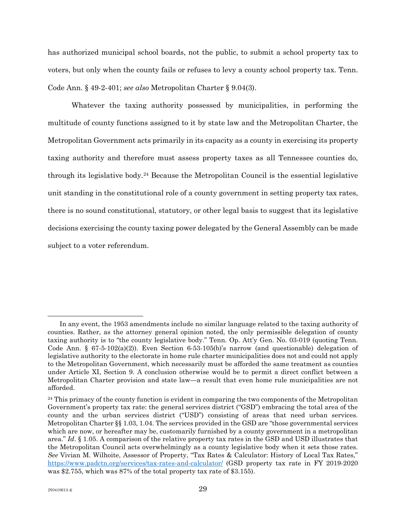has authorized municipal school boards, not the public, to submit a school property tax to voters, but only when the county fails or refuses to levy a county school property tax. Tenn. Code Ann. § 49-2-401; *see also* Metropolitan Charter § 9.04(3).

Whatever the taxing authority possessed by municipalities, in performing the multitude of county functions assigned to it by state law and the Metropolitan Charter, the Metropolitan Government acts primarily in its capacity as a county in exercising its property taxing authority and therefore must assess property taxes as all Tennessee counties do, through its legislative body.[24](#page-28-0) Because the Metropolitan Council is the essential legislative unit standing in the constitutional role of a county government in setting property tax rates, there is no sound constitutional, statutory, or other legal basis to suggest that its legislative decisions exercising the county taxing power delegated by the General Assembly can be made subject to a voter referendum.

In any event, the 1953 amendments include no similar language related to the taxing authority of counties. Rather, as the attorney general opinion noted, the only permissible delegation of county taxing authority is to "the county legislative body." Tenn. Op. Att'y Gen. No. 03-019 (quoting Tenn. Code Ann. § 67-5-102(a)(2)). Even Section 6-53-105(b)'s narrow (and questionable) delegation of legislative authority to the electorate in home rule charter municipalities does not and could not apply to the Metropolitan Government, which necessarily must be afforded the same treatment as counties under Article XI, Section 9. A conclusion otherwise would be to permit a direct conflict between a Metropolitan Charter provision and state law—a result that even home rule municipalities are not afforded.

<span id="page-28-0"></span><sup>&</sup>lt;sup>24</sup> This primacy of the county function is evident in comparing the two components of the Metropolitan Government's property tax rate: the general services district ("GSD") embracing the total area of the county and the urban services district ("USD") consisting of areas that need urban services. Metropolitan Charter §§ 1.03, 1.04. The services provided in the GSD are "those governmental services which are now, or hereafter may be, customarily furnished by a county government in a metropolitan area." *Id*. § 1.05. A comparison of the relative property tax rates in the GSD and USD illustrates that the Metropolitan Council acts overwhelmingly as a county legislative body when it sets those rates. *See* Vivian M. Wilhoite, Assessor of Property, "Tax Rates & Calculator: History of Local Tax Rates," <https://www.padctn.org/services/tax-rates-and-calculator/> (GSD property tax rate in FY 2019-2020 was \$2.755, which was 87% of the total property tax rate of \$3.155).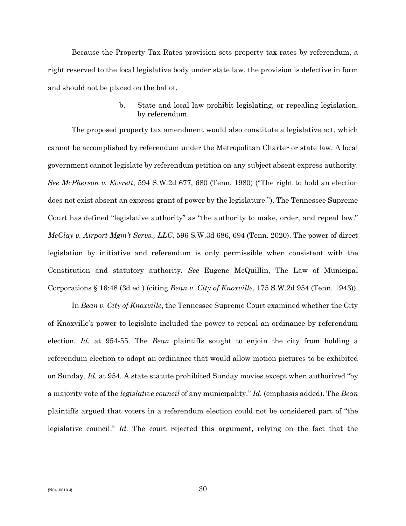Because the Property Tax Rates provision sets property tax rates by referendum, a right reserved to the local legislative body under state law, the provision is defective in form and should not be placed on the ballot.

> b. State and local law prohibit legislating, or repealing legislation, by referendum.

The proposed property tax amendment would also constitute a legislative act, which cannot be accomplished by referendum under the Metropolitan Charter or state law. A local government cannot legislate by referendum petition on any subject absent express authority. *See McPherson v. Everett*, 594 S.W.2d 677, 680 (Tenn. 1980) ("The right to hold an election does not exist absent an express grant of power by the legislature."). The Tennessee Supreme Court has defined "legislative authority" as "the authority to make, order, and repeal law." *McClay v. Airport Mgm't Servs., LLC*, 596 S.W.3d 686, 694 (Tenn. 2020). The power of direct legislation by initiative and referendum is only permissible when consistent with the Constitution and statutory authority. *See* Eugene McQuillin, The Law of Municipal Corporations § 16:48 (3d ed.) (citing *Bean v. City of Knoxville*, 175 S.W.2d 954 (Tenn. 1943)).

In *Bean v. City of Knoxville*, the Tennessee Supreme Court examined whether the City of Knoxville's power to legislate included the power to repeal an ordinance by referendum election. *Id.* at 954-55. The *Bean* plaintiffs sought to enjoin the city from holding a referendum election to adopt an ordinance that would allow motion pictures to be exhibited on Sunday. *Id.* at 954. A state statute prohibited Sunday movies except when authorized "by a majority vote of the *legislative council* of any municipality." *Id.* (emphasis added). The *Bean*  plaintiffs argued that voters in a referendum election could not be considered part of "the legislative council." *Id.* The court rejected this argument, relying on the fact that the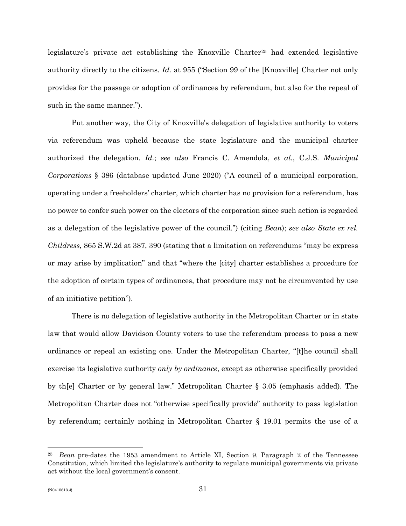legislature's private act establishing the Knoxville Charter<sup>[25](#page-30-0)</sup> had extended legislative authority directly to the citizens. *Id.* at 955 ("Section 99 of the [Knoxville] Charter not only provides for the passage or adoption of ordinances by referendum, but also for the repeal of such in the same manner.").

Put another way, the City of Knoxville's delegation of legislative authority to voters via referendum was upheld because the state legislature and the municipal charter authorized the delegation. *Id.*; *see also* Francis C. Amendola, *et al.*, C.J.S. *Municipal Corporations* § 386 (database updated June 2020) ("A council of a municipal corporation, operating under a freeholders' charter, which charter has no provision for a referendum, has no power to confer such power on the electors of the corporation since such action is regarded as a delegation of the legislative power of the council.") (citing *Bean*); *see also State ex rel. Childress*, 865 S.W.2d at 387, 390 (stating that a limitation on referendums "may be express or may arise by implication" and that "where the [city] charter establishes a procedure for the adoption of certain types of ordinances, that procedure may not be circumvented by use of an initiative petition").

There is no delegation of legislative authority in the Metropolitan Charter or in state law that would allow Davidson County voters to use the referendum process to pass a new ordinance or repeal an existing one. Under the Metropolitan Charter, "[t]he council shall exercise its legislative authority *only by ordinance*, except as otherwise specifically provided by th[e] Charter or by general law." Metropolitan Charter § 3.05 (emphasis added). The Metropolitan Charter does not "otherwise specifically provide" authority to pass legislation by referendum; certainly nothing in Metropolitan Charter § 19.01 permits the use of a

<span id="page-30-0"></span><sup>25</sup> *Bean* pre-dates the 1953 amendment to Article XI, Section 9, Paragraph 2 of the Tennessee Constitution, which limited the legislature's authority to regulate municipal governments via private act without the local government's consent.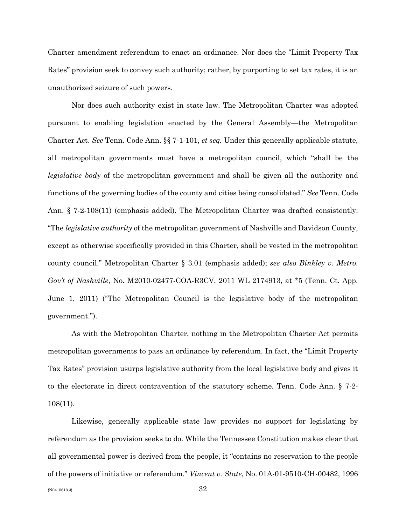Charter amendment referendum to enact an ordinance. Nor does the "Limit Property Tax Rates" provision seek to convey such authority; rather, by purporting to set tax rates, it is an unauthorized seizure of such powers.

Nor does such authority exist in state law. The Metropolitan Charter was adopted pursuant to enabling legislation enacted by the General Assembly—the Metropolitan Charter Act. *See* Tenn. Code Ann. §§ 7-1-101, *et seq.* Under this generally applicable statute, all metropolitan governments must have a metropolitan council, which "shall be the *legislative body* of the metropolitan government and shall be given all the authority and functions of the governing bodies of the county and cities being consolidated." *See* Tenn. Code Ann. § 7-2-108(11) (emphasis added). The Metropolitan Charter was drafted consistently: "The *legislative authority* of the metropolitan government of Nashville and Davidson County, except as otherwise specifically provided in this Charter, shall be vested in the metropolitan county council." Metropolitan Charter § 3.01 (emphasis added); *see also Binkley v. Metro. Gov't of Nashville*, No. M2010-02477-COA-R3CV, 2011 WL 2174913, at \*5 (Tenn. Ct. App. June 1, 2011) ("The Metropolitan Council is the legislative body of the metropolitan government.").

As with the Metropolitan Charter, nothing in the Metropolitan Charter Act permits metropolitan governments to pass an ordinance by referendum. In fact, the "Limit Property Tax Rates" provision usurps legislative authority from the local legislative body and gives it to the electorate in direct contravention of the statutory scheme. Tenn. Code Ann. § 7-2- 108(11).

Likewise, generally applicable state law provides no support for legislating by referendum as the provision seeks to do. While the Tennessee Constitution makes clear that all governmental power is derived from the people, it "contains no reservation to the people of the powers of initiative or referendum." *Vincent v. State*, No. 01A-01-9510-CH-00482, 1996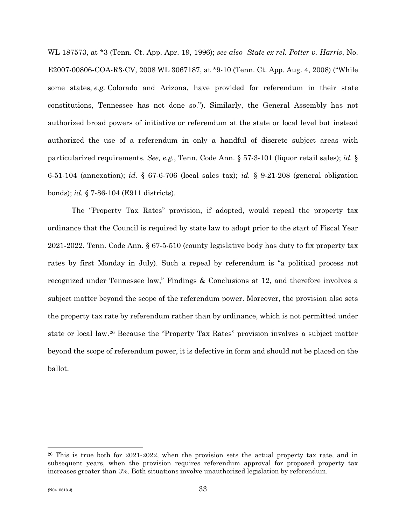WL 187573, at \*3 (Tenn. Ct. App. Apr. 19, 1996); *see also State ex rel. Potter v. Harris*, No. E2007-00806-COA-R3-CV, 2008 WL 3067187, at \*9-10 (Tenn. Ct. App. Aug. 4, 2008) ("While some states, *e.g.* Colorado and Arizona, have provided for referendum in their state constitutions, Tennessee has not done so."). Similarly, the General Assembly has not authorized broad powers of initiative or referendum at the state or local level but instead authorized the use of a referendum in only a handful of discrete subject areas with particularized requirements. *See, e.g.*, Tenn. Code Ann. § 57-3-101 (liquor retail sales); *id.* § 6-51-104 (annexation); *id.* § 67-6-706 (local sales tax); *id.* § 9-21-208 (general obligation bonds); *id.* § 7-86-104 (E911 districts).

The "Property Tax Rates" provision, if adopted, would repeal the property tax ordinance that the Council is required by state law to adopt prior to the start of Fiscal Year 2021-2022. Tenn. Code Ann. § 67-5-510 (county legislative body has duty to fix property tax rates by first Monday in July). Such a repeal by referendum is "a political process not recognized under Tennessee law," Findings & Conclusions at 12, and therefore involves a subject matter beyond the scope of the referendum power. Moreover, the provision also sets the property tax rate by referendum rather than by ordinance, which is not permitted under state or local law.[26](#page-32-0) Because the "Property Tax Rates" provision involves a subject matter beyond the scope of referendum power, it is defective in form and should not be placed on the ballot.

<span id="page-32-0"></span><sup>26</sup> This is true both for 2021-2022, when the provision sets the actual property tax rate, and in subsequent years, when the provision requires referendum approval for proposed property tax increases greater than 3%. Both situations involve unauthorized legislation by referendum.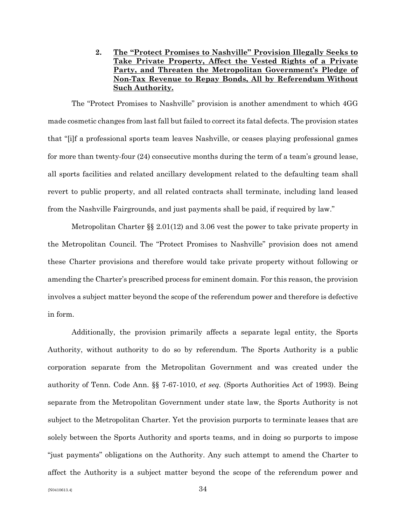**2. The "Protect Promises to Nashville" Provision Illegally Seeks to Take Private Property, Affect the Vested Rights of a Private Party, and Threaten the Metropolitan Government's Pledge of Non-Tax Revenue to Repay Bonds, All by Referendum Without Such Authority.**

The "Protect Promises to Nashville" provision is another amendment to which 4GG made cosmetic changes from last fall but failed to correct its fatal defects. The provision states that "[i]f a professional sports team leaves Nashville, or ceases playing professional games for more than twenty-four (24) consecutive months during the term of a team's ground lease, all sports facilities and related ancillary development related to the defaulting team shall revert to public property, and all related contracts shall terminate, including land leased from the Nashville Fairgrounds, and just payments shall be paid, if required by law."

Metropolitan Charter §§ 2.01(12) and 3.06 vest the power to take private property in the Metropolitan Council. The "Protect Promises to Nashville" provision does not amend these Charter provisions and therefore would take private property without following or amending the Charter's prescribed process for eminent domain. For this reason, the provision involves a subject matter beyond the scope of the referendum power and therefore is defective in form.

Additionally, the provision primarily affects a separate legal entity, the Sports Authority, without authority to do so by referendum. The Sports Authority is a public corporation separate from the Metropolitan Government and was created under the authority of Tenn. Code Ann. §§ 7-67-1010, *et seq.* (Sports Authorities Act of 1993). Being separate from the Metropolitan Government under state law, the Sports Authority is not subject to the Metropolitan Charter. Yet the provision purports to terminate leases that are solely between the Sports Authority and sports teams, and in doing so purports to impose "just payments" obligations on the Authority. Any such attempt to amend the Charter to affect the Authority is a subject matter beyond the scope of the referendum power and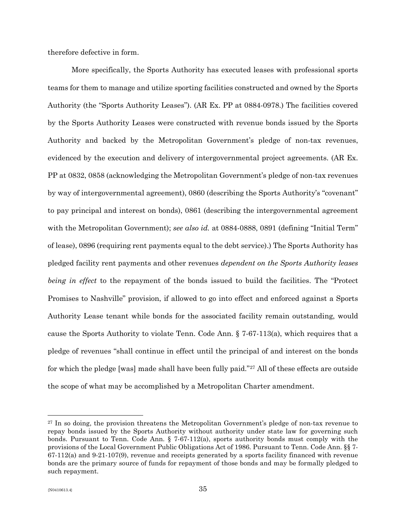therefore defective in form.

More specifically, the Sports Authority has executed leases with professional sports teams for them to manage and utilize sporting facilities constructed and owned by the Sports Authority (the "Sports Authority Leases"). (AR Ex. PP at 0884-0978.) The facilities covered by the Sports Authority Leases were constructed with revenue bonds issued by the Sports Authority and backed by the Metropolitan Government's pledge of non-tax revenues, evidenced by the execution and delivery of intergovernmental project agreements. (AR Ex. PP at 0832, 0858 (acknowledging the Metropolitan Government's pledge of non-tax revenues by way of intergovernmental agreement), 0860 (describing the Sports Authority's "covenant" to pay principal and interest on bonds), 0861 (describing the intergovernmental agreement with the Metropolitan Government); *see also id.* at 0884-0888, 0891 (defining "Initial Term" of lease), 0896 (requiring rent payments equal to the debt service).) The Sports Authority has pledged facility rent payments and other revenues *dependent on the Sports Authority leases being in effect* to the repayment of the bonds issued to build the facilities. The "Protect Promises to Nashville" provision, if allowed to go into effect and enforced against a Sports Authority Lease tenant while bonds for the associated facility remain outstanding, would cause the Sports Authority to violate Tenn. Code Ann. § 7-67-113(a), which requires that a pledge of revenues "shall continue in effect until the principal of and interest on the bonds for which the pledge [was] made shall have been fully paid."[27](#page-34-0) All of these effects are outside the scope of what may be accomplished by a Metropolitan Charter amendment.

<span id="page-34-0"></span><sup>&</sup>lt;sup>27</sup> In so doing, the provision threatens the Metropolitan Government's pledge of non-tax revenue to repay bonds issued by the Sports Authority without authority under state law for governing such bonds. Pursuant to Tenn. Code Ann.  $\S$  7-67-112(a), sports authority bonds must comply with the provisions of the Local Government Public Obligations Act of 1986. Pursuant to Tenn. Code Ann. §§ 7- 67-112(a) and 9-21-107(9), revenue and receipts generated by a sports facility financed with revenue bonds are the primary source of funds for repayment of those bonds and may be formally pledged to such repayment.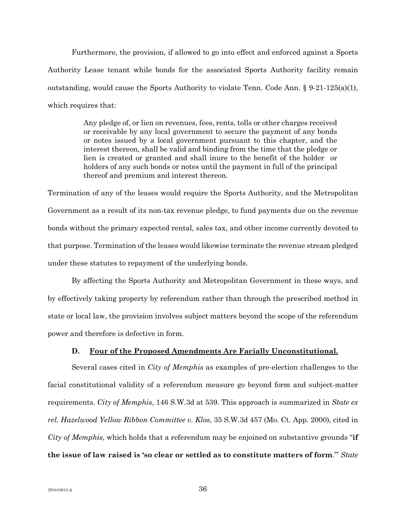Furthermore, the provision, if allowed to go into effect and enforced against a Sports Authority Lease tenant while bonds for the associated Sports Authority facility remain outstanding, would cause the Sports Authority to violate Tenn. Code Ann. § 9-21-125(a)(1), which requires that:

> Any pledge of, or lien on revenues, fees, rents, tolls or other charges received or receivable by any local government to secure the payment of any bonds or notes issued by a local government pursuant to this chapter, and the interest thereon, shall be valid and binding from the time that the pledge or lien is created or granted and shall inure to the benefit of the holder or holders of any such bonds or notes until the payment in full of the principal thereof and premium and interest thereon.

Termination of any of the leases would require the Sports Authority, and the Metropolitan Government as a result of its non-tax revenue pledge, to fund payments due on the revenue bonds without the primary expected rental, sales tax, and other income currently devoted to that purpose. Termination of the leases would likewise terminate the revenue stream pledged under these statutes to repayment of the underlying bonds.

By affecting the Sports Authority and Metropolitan Government in these ways, and by effectively taking property by referendum rather than through the prescribed method in state or local law, the provision involves subject matters beyond the scope of the referendum power and therefore is defective in form.

### **D. Four of the Proposed Amendments Are Facially Unconstitutional.**

Several cases cited in *City of Memphis* as examples of pre-election challenges to the facial constitutional validity of a referendum measure go beyond form and subject-matter requirements. *City of Memphis*, 146 S.W.3d at 539. This approach is summarized in *State ex rel. Hazelwood Yellow Ribbon Committee v. Klos*, 35 S.W.3d 457 (Mo. Ct. App. 2000), cited in *City of Memphis*, which holds that a referendum may be enjoined on substantive grounds "**if the issue of law raised is 'so clear or settled as to constitute matters of form**.'" *State*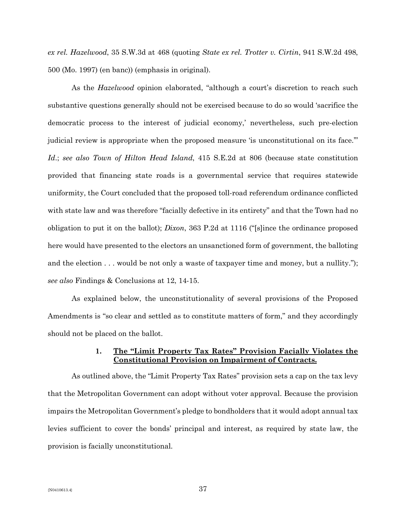*ex rel. Hazelwood*, 35 S.W.3d at 468 (quoting *State ex rel. Trotter v. Cirtin*, 941 S.W.2d 498, 500 (Mo. 1997) (en banc)) (emphasis in original).

As the *Hazelwood* opinion elaborated, "although a court's discretion to reach such substantive questions generally should not be exercised because to do so would 'sacrifice the democratic process to the interest of judicial economy,' nevertheless, such pre-election judicial review is appropriate when the proposed measure 'is unconstitutional on its face.'" *Id*.; *see also Town of Hilton Head Island*, 415 S.E.2d at 806 (because state constitution provided that financing state roads is a governmental service that requires statewide uniformity, the Court concluded that the proposed toll-road referendum ordinance conflicted with state law and was therefore "facially defective in its entirety" and that the Town had no obligation to put it on the ballot); *Dixon*, 363 P.2d at 1116 ("[s]ince the ordinance proposed here would have presented to the electors an unsanctioned form of government, the balloting and the election . . . would be not only a waste of taxpayer time and money, but a nullity."); *see also* Findings & Conclusions at 12, 14-15.

As explained below, the unconstitutionality of several provisions of the Proposed Amendments is "so clear and settled as to constitute matters of form," and they accordingly should not be placed on the ballot.

# **1. The "Limit Property Tax Rates" Provision Facially Violates the Constitutional Provision on Impairment of Contracts.**

As outlined above, the "Limit Property Tax Rates" provision sets a cap on the tax levy that the Metropolitan Government can adopt without voter approval. Because the provision impairs the Metropolitan Government's pledge to bondholders that it would adopt annual tax levies sufficient to cover the bonds' principal and interest, as required by state law, the provision is facially unconstitutional.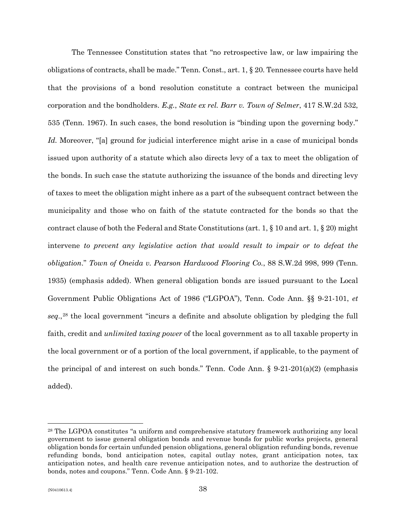The Tennessee Constitution states that "no retrospective law, or law impairing the obligations of contracts, shall be made." Tenn. Const., art. 1, § 20. Tennessee courts have held that the provisions of a bond resolution constitute a contract between the municipal corporation and the bondholders. *E.g.*, *State ex rel. Barr v. Town of Selmer*, 417 S.W.2d 532, 535 (Tenn. 1967). In such cases, the bond resolution is "binding upon the governing body." *Id.* Moreover, "[a] ground for judicial interference might arise in a case of municipal bonds issued upon authority of a statute which also directs levy of a tax to meet the obligation of the bonds. In such case the statute authorizing the issuance of the bonds and directing levy of taxes to meet the obligation might inhere as a part of the subsequent contract between the municipality and those who on faith of the statute contracted for the bonds so that the contract clause of both the Federal and State Constitutions (art. 1, § 10 and art. 1, § 20) might intervene *to prevent any legislative action that would result to impair or to defeat the obligation*." *Town of Oneida v. Pearson Hardwood Flooring Co.*, 88 S.W.2d 998, 999 (Tenn. 1935) (emphasis added). When general obligation bonds are issued pursuant to the Local Government Public Obligations Act of 1986 ("LGPOA"), Tenn. Code Ann. §§ 9-21-101, *et seq.*,[28](#page-37-0) the local government "incurs a definite and absolute obligation by pledging the full faith, credit and *unlimited taxing power* of the local government as to all taxable property in the local government or of a portion of the local government, if applicable, to the payment of the principal of and interest on such bonds." Tenn. Code Ann. § 9-21-201(a)(2) (emphasis added).

<span id="page-37-0"></span><sup>28</sup> The LGPOA constitutes "a uniform and comprehensive statutory framework authorizing any local government to issue general obligation bonds and revenue bonds for public works projects, general obligation bonds for certain unfunded pension obligations, general obligation refunding bonds, revenue refunding bonds, bond anticipation notes, capital outlay notes, grant anticipation notes, tax anticipation notes, and health care revenue anticipation notes, and to authorize the destruction of bonds, notes and coupons." Tenn. Code Ann. § 9-21-102.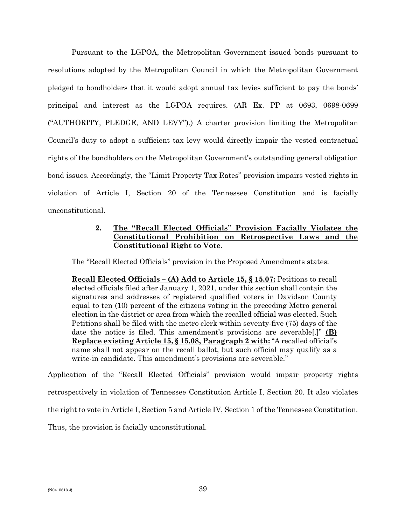Pursuant to the LGPOA, the Metropolitan Government issued bonds pursuant to resolutions adopted by the Metropolitan Council in which the Metropolitan Government pledged to bondholders that it would adopt annual tax levies sufficient to pay the bonds' principal and interest as the LGPOA requires. (AR Ex. PP at 0693, 0698-0699 ("AUTHORITY, PLEDGE, AND LEVY").) A charter provision limiting the Metropolitan Council's duty to adopt a sufficient tax levy would directly impair the vested contractual rights of the bondholders on the Metropolitan Government's outstanding general obligation bond issues. Accordingly, the "Limit Property Tax Rates" provision impairs vested rights in violation of Article I, Section 20 of the Tennessee Constitution and is facially unconstitutional.

# **2. The "Recall Elected Officials" Provision Facially Violates the Constitutional Prohibition on Retrospective Laws and the Constitutional Right to Vote.**

The "Recall Elected Officials" provision in the Proposed Amendments states:

**Recall Elected Officials – (A) Add to Article 15, § 15.07:** Petitions to recall elected officials filed after January 1, 2021, under this section shall contain the signatures and addresses of registered qualified voters in Davidson County equal to ten (10) percent of the citizens voting in the preceding Metro general election in the district or area from which the recalled official was elected. Such Petitions shall be filed with the metro clerk within seventy-five (75) days of the date the notice is filed. This amendment's provisions are severable[.]" **(B) Replace existing Article 15, § 15.08, Paragraph 2 with:** "A recalled official's name shall not appear on the recall ballot, but such official may qualify as a write-in candidate. This amendment's provisions are severable."

Application of the "Recall Elected Officials" provision would impair property rights retrospectively in violation of Tennessee Constitution Article I, Section 20. It also violates the right to vote in Article I, Section 5 and Article IV, Section 1 of the Tennessee Constitution. Thus, the provision is facially unconstitutional.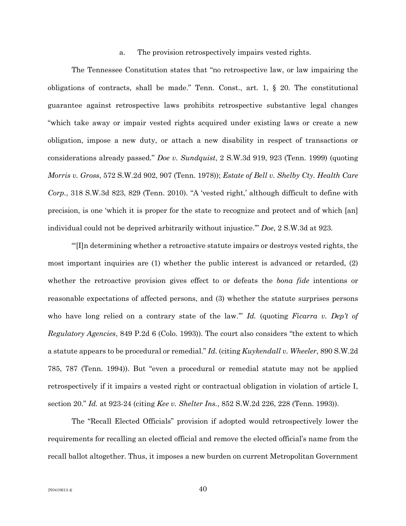#### a. The provision retrospectively impairs vested rights.

The Tennessee Constitution states that "no retrospective law, or law impairing the obligations of contracts, shall be made." Tenn. Const., art. 1, § 20. The constitutional guarantee against retrospective laws prohibits retrospective substantive legal changes "which take away or impair vested rights acquired under existing laws or create a new obligation, impose a new duty, or attach a new disability in respect of transactions or considerations already passed." *Doe v. Sundquist*, 2 S.W.3d 919, 923 (Tenn. 1999) (quoting *Morris v. Gross*, 572 S.W.2d 902, 907 (Tenn. 1978)); *Estate of Bell v. Shelby Cty. Health Care Corp.*, 318 S.W.3d 823, 829 (Tenn. 2010). "A 'vested right,' although difficult to define with precision, is one 'which it is proper for the state to recognize and protect and of which [an] individual could not be deprived arbitrarily without injustice.'" *Doe*, 2 S.W.3d at 923.

"'[I]n determining whether a retroactive statute impairs or destroys vested rights, the most important inquiries are (1) whether the public interest is advanced or retarded, (2) whether the retroactive provision gives effect to or defeats the *bona fide* intentions or reasonable expectations of affected persons, and (3) whether the statute surprises persons who have long relied on a contrary state of the law.'" *Id.* (quoting *Ficarra v. Dep't of Regulatory Agencies*, 849 P.2d 6 (Colo. 1993)). The court also considers "the extent to which a statute appears to be procedural or remedial." *Id.* (citing *Kuykendall v. Wheeler*, 890 S.W.2d 785, 787 (Tenn. 1994)). But "even a procedural or remedial statute may not be applied retrospectively if it impairs a vested right or contractual obligation in violation of article I, section 20." *Id.* at 923-24 (citing *Kee v. Shelter Ins.*, 852 S.W.2d 226, 228 (Tenn. 1993)).

The "Recall Elected Officials" provision if adopted would retrospectively lower the requirements for recalling an elected official and remove the elected official's name from the recall ballot altogether. Thus, it imposes a new burden on current Metropolitan Government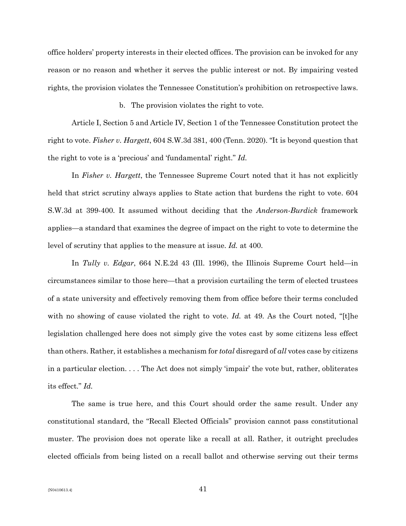office holders' property interests in their elected offices. The provision can be invoked for any reason or no reason and whether it serves the public interest or not. By impairing vested rights, the provision violates the Tennessee Constitution's prohibition on retrospective laws.

#### b. The provision violates the right to vote.

Article I, Section 5 and Article IV, Section 1 of the Tennessee Constitution protect the right to vote. *Fisher v. Hargett*, 604 S.W.3d 381, 400 (Tenn. 2020). "It is beyond question that the right to vote is a 'precious' and 'fundamental' right." *Id.*

In *Fisher v. Hargett*, the Tennessee Supreme Court noted that it has not explicitly held that strict scrutiny always applies to State action that burdens the right to vote. 604 S.W.3d at 399-400. It assumed without deciding that the *Anderson-Burdick* framework applies—a standard that examines the degree of impact on the right to vote to determine the level of scrutiny that applies to the measure at issue. *Id.* at 400.

In *Tully v. Edgar*, 664 N.E.2d 43 (Ill. 1996), the Illinois Supreme Court held—in circumstances similar to those here—that a provision curtailing the term of elected trustees of a state university and effectively removing them from office before their terms concluded with no showing of cause violated the right to vote. *Id.* at 49. As the Court noted, "[t]he legislation challenged here does not simply give the votes cast by some citizens less effect than others. Rather, it establishes a mechanism for *total* disregard of *all* votes case by citizens in a particular election. . . . The Act does not simply 'impair' the vote but, rather, obliterates its effect." *Id.* 

The same is true here, and this Court should order the same result. Under any constitutional standard, the "Recall Elected Officials" provision cannot pass constitutional muster. The provision does not operate like a recall at all. Rather, it outright precludes elected officials from being listed on a recall ballot and otherwise serving out their terms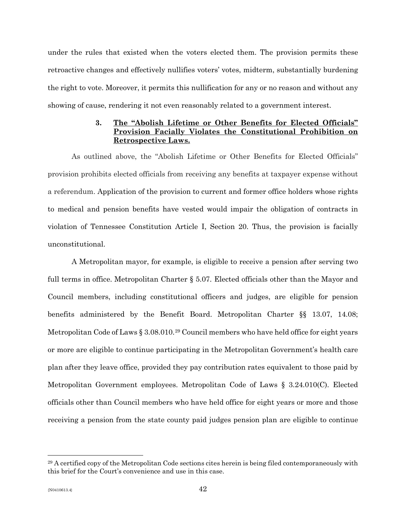under the rules that existed when the voters elected them. The provision permits these retroactive changes and effectively nullifies voters' votes, midterm, substantially burdening the right to vote. Moreover, it permits this nullification for any or no reason and without any showing of cause, rendering it not even reasonably related to a government interest.

# **3. The "Abolish Lifetime or Other Benefits for Elected Officials" Provision Facially Violates the Constitutional Prohibition on Retrospective Laws.**

As outlined above, the "Abolish Lifetime or Other Benefits for Elected Officials" provision prohibits elected officials from receiving any benefits at taxpayer expense without a referendum. Application of the provision to current and former office holders whose rights to medical and pension benefits have vested would impair the obligation of contracts in violation of Tennessee Constitution Article I, Section 20. Thus, the provision is facially unconstitutional.

A Metropolitan mayor, for example, is eligible to receive a pension after serving two full terms in office. Metropolitan Charter § 5.07. Elected officials other than the Mayor and Council members, including constitutional officers and judges, are eligible for pension benefits administered by the Benefit Board. Metropolitan Charter §§ 13.07, 14.08; Metropolitan Code of Laws  $\S 3.08.010.^{29}$  $\S 3.08.010.^{29}$  $\S 3.08.010.^{29}$  Council members who have held office for eight years or more are eligible to continue participating in the Metropolitan Government's health care plan after they leave office, provided they pay contribution rates equivalent to those paid by Metropolitan Government employees. Metropolitan Code of Laws § 3.24.010(C). Elected officials other than Council members who have held office for eight years or more and those receiving a pension from the state county paid judges pension plan are eligible to continue

<span id="page-41-0"></span><sup>29</sup> A certified copy of the Metropolitan Code sections cites herein is being filed contemporaneously with this brief for the Court's convenience and use in this case.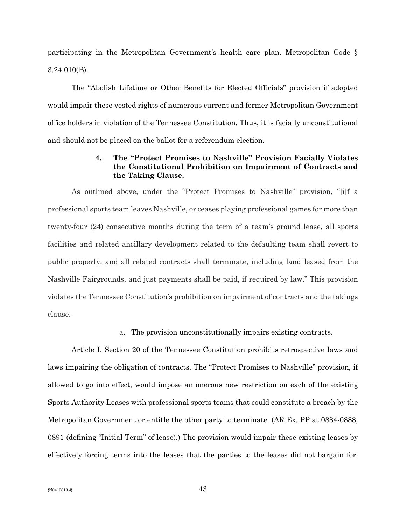participating in the Metropolitan Government's health care plan. Metropolitan Code § 3.24.010(B).

The "Abolish Lifetime or Other Benefits for Elected Officials" provision if adopted would impair these vested rights of numerous current and former Metropolitan Government office holders in violation of the Tennessee Constitution. Thus, it is facially unconstitutional and should not be placed on the ballot for a referendum election.

# **4. The "Protect Promises to Nashville" Provision Facially Violates the Constitutional Prohibition on Impairment of Contracts and the Taking Clause.**

As outlined above, under the "Protect Promises to Nashville" provision, "[i]f a professional sports team leaves Nashville, or ceases playing professional games for more than twenty-four (24) consecutive months during the term of a team's ground lease, all sports facilities and related ancillary development related to the defaulting team shall revert to public property, and all related contracts shall terminate, including land leased from the Nashville Fairgrounds, and just payments shall be paid, if required by law." This provision violates the Tennessee Constitution's prohibition on impairment of contracts and the takings clause.

### a. The provision unconstitutionally impairs existing contracts.

Article I, Section 20 of the Tennessee Constitution prohibits retrospective laws and laws impairing the obligation of contracts. The "Protect Promises to Nashville" provision, if allowed to go into effect, would impose an onerous new restriction on each of the existing Sports Authority Leases with professional sports teams that could constitute a breach by the Metropolitan Government or entitle the other party to terminate. (AR Ex. PP at 0884-0888, 0891 (defining "Initial Term" of lease).) The provision would impair these existing leases by effectively forcing terms into the leases that the parties to the leases did not bargain for.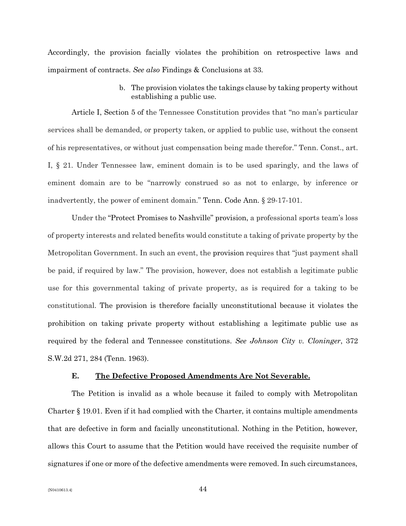Accordingly, the provision facially violates the prohibition on retrospective laws and impairment of contracts. *See also* Findings & Conclusions at 33.

> b. The provision violates the takings clause by taking property without establishing a public use.

Article I, Section 5 of the Tennessee Constitution provides that "no man's particular services shall be demanded, or property taken, or applied to public use, without the consent of his representatives, or without just compensation being made therefor." Tenn. Const., art. I, § 21. Under Tennessee law, eminent domain is to be used sparingly, and the laws of eminent domain are to be "narrowly construed so as not to enlarge, by inference or inadvertently, the power of eminent domain." Tenn. Code Ann. § 29-17-101.

Under the "Protect Promises to Nashville" provision, a professional sports team's loss of property interests and related benefits would constitute a taking of private property by the Metropolitan Government. In such an event, the provision requires that "just payment shall be paid, if required by law." The provision, however, does not establish a legitimate public use for this governmental taking of private property, as is required for a taking to be constitutional. The provision is therefore facially unconstitutional because it violates the prohibition on taking private property without establishing a legitimate public use as required by the federal and Tennessee constitutions. *See Johnson City v. Cloninger*, 372 S.W.2d 271, 284 (Tenn. 1963).

### **E. The Defective Proposed Amendments Are Not Severable.**

The Petition is invalid as a whole because it failed to comply with Metropolitan Charter § 19.01. Even if it had complied with the Charter, it contains multiple amendments that are defective in form and facially unconstitutional. Nothing in the Petition, however, allows this Court to assume that the Petition would have received the requisite number of signatures if one or more of the defective amendments were removed. In such circumstances,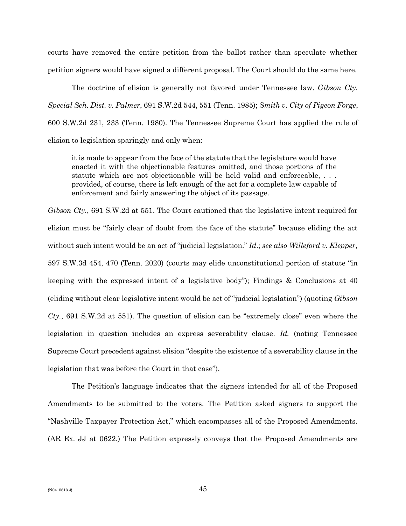courts have removed the entire petition from the ballot rather than speculate whether petition signers would have signed a different proposal. The Court should do the same here.

The doctrine of elision is generally not favored under Tennessee law. *Gibson Cty. Special Sch. Dist. v. Palmer*, 691 S.W.2d 544, 551 (Tenn. 1985); *Smith v. City of Pigeon Forge*, 600 S.W.2d 231, 233 (Tenn. 1980). The Tennessee Supreme Court has applied the rule of elision to legislation sparingly and only when:

it is made to appear from the face of the statute that the legislature would have enacted it with the objectionable features omitted, and those portions of the statute which are not objectionable will be held valid and enforceable, . . . provided, of course, there is left enough of the act for a complete law capable of enforcement and fairly answering the object of its passage.

*Gibson Cty.*, 691 S.W.2d at 551. The Court cautioned that the legislative intent required for elision must be "fairly clear of doubt from the face of the statute" because eliding the act without such intent would be an act of "judicial legislation." *Id*.; *see also Willeford v. Klepper*, 597 S.W.3d 454, 470 (Tenn. 2020) (courts may elide unconstitutional portion of statute "in keeping with the expressed intent of a legislative body"); Findings & Conclusions at 40 (eliding without clear legislative intent would be act of "judicial legislation") (quoting *Gibson Cty.*, 691 S.W.2d at 551). The question of elision can be "extremely close" even where the legislation in question includes an express severability clause. *Id.* (noting Tennessee Supreme Court precedent against elision "despite the existence of a severability clause in the legislation that was before the Court in that case").

The Petition's language indicates that the signers intended for all of the Proposed Amendments to be submitted to the voters. The Petition asked signers to support the "Nashville Taxpayer Protection Act," which encompasses all of the Proposed Amendments. (AR Ex. JJ at 0622.) The Petition expressly conveys that the Proposed Amendments are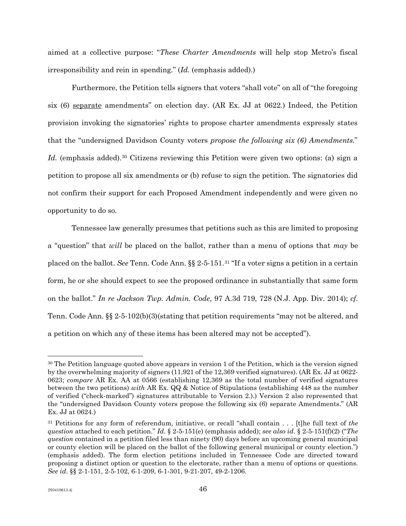aimed at a collective purpose: "*These Charter Amendments* will help stop Metro's fiscal irresponsibility and rein in spending." (*Id.* (emphasis added).)

Furthermore, the Petition tells signers that voters "shall vote" on all of "the foregoing six (6) separate amendments" on election day. (AR Ex. JJ at 0622.) Indeed, the Petition provision invoking the signatories' rights to propose charter amendments expressly states that the "undersigned Davidson County voters *propose the following six (6) Amendments*." Id. (emphasis added).<sup>[30](#page-45-0)</sup> Citizens reviewing this Petition were given two options: (a) sign a petition to propose all six amendments or (b) refuse to sign the petition. The signatories did not confirm their support for each Proposed Amendment independently and were given no opportunity to do so.

Tennessee law generally presumes that petitions such as this are limited to proposing a "question" that *will* be placed on the ballot, rather than a menu of options that *may* be placed on the ballot. *See* Tenn. Code Ann. §§ 2-5-151.[31](#page-45-1) "If a voter signs a petition in a certain form, he or she should expect to see the proposed ordinance in substantially that same form on the ballot." *In re Jackson Twp. Admin. Code*, 97 A.3d 719, 728 (N.J. App. Div. 2014); *cf.* Tenn. Code Ann. §§ 2-5-102(b)(3)(stating that petition requirements "may not be altered, and a petition on which any of these items has been altered may not be accepted").

<span id="page-45-0"></span><sup>&</sup>lt;sup>30</sup> The Petition language quoted above appears in version 1 of the Petition, which is the version signed by the overwhelming majority of signers (11,921 of the 12,369 verified signatures). (AR Ex. JJ at 0622- 0623; *compare* AR Ex. AA at 0566 (establishing 12,369 as the total number of verified signatures between the two petitions) *with* AR Ex. QQ & Notice of Stipulations (establishing 448 as the number of verified ("check-marked") signatures attributable to Version 2.).) Version 2 also represented that the "undersigned Davidson County voters propose the following six (6) separate Amendments." (AR Ex. JJ at 0624.)

<span id="page-45-1"></span><sup>31</sup> Petitions for any form of referendum, initiative, or recall "shall contain . . . [t]he full text of *the question* attached to each petition." *Id*. § 2-5-151(e) (emphasis added); *see also id*. § 2-5-151(f)(2) ("*The question* contained in a petition filed less than ninety (90) days before an upcoming general municipal or county election will be placed on the ballot of the following general municipal or county election.") (emphasis added). The form election petitions included in Tennessee Code are directed toward proposing a distinct option or question to the electorate, rather than a menu of options or questions. *See id*. §§ 2-1-151, 2-5-102, 6-1-209, 6-1-301, 9-21-207, 49-2-1206.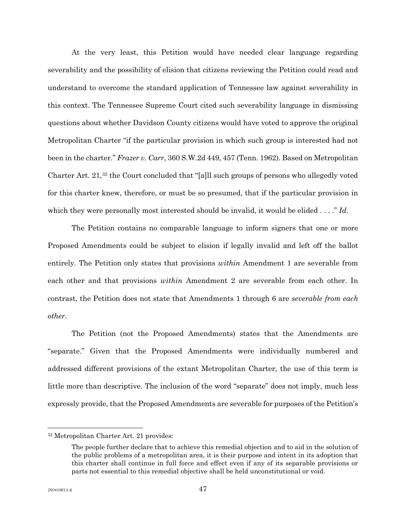At the very least, this Petition would have needed clear language regarding severability and the possibility of elision that citizens reviewing the Petition could read and understand to overcome the standard application of Tennessee law against severability in this context. The Tennessee Supreme Court cited such severability language in dismissing questions about whether Davidson County citizens would have voted to approve the original Metropolitan Charter "if the particular provision in which such group is interested had not been in the charter." *Frazer v. Carr*, 360 S.W.2d 449, 457 (Tenn. 1962). Based on Metropolitan Charter Art. 21,[32](#page-46-0) the Court concluded that "[a]ll such groups of persons who allegedly voted for this charter knew, therefore, or must be so presumed, that if the particular provision in which they were personally most interested should be invalid, it would be elided . . . ." *Id*.

The Petition contains no comparable language to inform signers that one or more Proposed Amendments could be subject to elision if legally invalid and left off the ballot entirely. The Petition only states that provisions *within* Amendment 1 are severable from each other and that provisions *within* Amendment 2 are severable from each other. In contrast, the Petition does not state that Amendments 1 through 6 are *severable from each other*.

The Petition (not the Proposed Amendments) states that the Amendments are "separate." Given that the Proposed Amendments were individually numbered and addressed different provisions of the extant Metropolitan Charter, the use of this term is little more than descriptive. The inclusion of the word "separate" does not imply, much less expressly provide, that the Proposed Amendments are severable for purposes of the Petition's

<span id="page-46-0"></span><sup>32</sup> Metropolitan Charter Art. 21 provides:

The people further declare that to achieve this remedial objection and to aid in the solution of the public problems of a metropolitan area, it is their purpose and intent in its adoption that this charter shall continue in full force and effect even if any of its separable provisions or parts not essential to this remedial objective shall be held unconstitutional or void.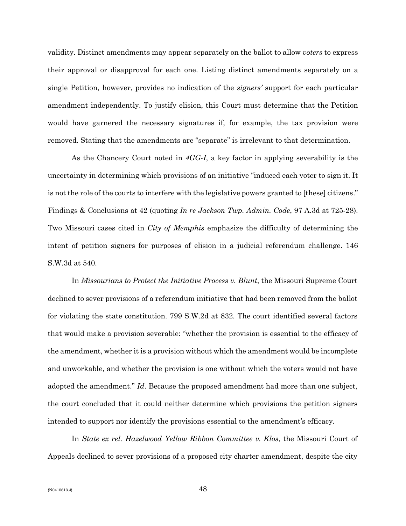validity. Distinct amendments may appear separately on the ballot to allow *voters* to express their approval or disapproval for each one. Listing distinct amendments separately on a single Petition, however, provides no indication of the *signers'* support for each particular amendment independently. To justify elision, this Court must determine that the Petition would have garnered the necessary signatures if, for example, the tax provision were removed. Stating that the amendments are "separate" is irrelevant to that determination.

As the Chancery Court noted in *4GG-I*, a key factor in applying severability is the uncertainty in determining which provisions of an initiative "induced each voter to sign it. It is not the role of the courts to interfere with the legislative powers granted to [these] citizens." Findings & Conclusions at 42 (quoting *In re Jackson Twp. Admin. Code*, 97 A.3d at 725-28). Two Missouri cases cited in *City of Memphis* emphasize the difficulty of determining the intent of petition signers for purposes of elision in a judicial referendum challenge. 146 S.W.3d at 540.

In *Missourians to Protect the Initiative Process v. Blunt*, the Missouri Supreme Court declined to sever provisions of a referendum initiative that had been removed from the ballot for violating the state constitution. 799 S.W.2d at 832. The court identified several factors that would make a provision severable: "whether the provision is essential to the efficacy of the amendment, whether it is a provision without which the amendment would be incomplete and unworkable, and whether the provision is one without which the voters would not have adopted the amendment." *Id*. Because the proposed amendment had more than one subject, the court concluded that it could neither determine which provisions the petition signers intended to support nor identify the provisions essential to the amendment's efficacy.

In *State ex rel. Hazelwood Yellow Ribbon Committee v. Klos*, the Missouri Court of Appeals declined to sever provisions of a proposed city charter amendment, despite the city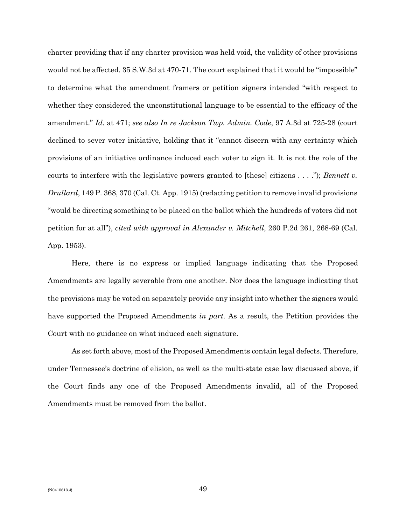charter providing that if any charter provision was held void, the validity of other provisions would not be affected. 35 S.W.3d at 470-71. The court explained that it would be "impossible" to determine what the amendment framers or petition signers intended "with respect to whether they considered the unconstitutional language to be essential to the efficacy of the amendment." *Id*. at 471; *see also In re Jackson Twp. Admin. Code*, 97 A.3d at 725-28 (court declined to sever voter initiative, holding that it "cannot discern with any certainty which provisions of an initiative ordinance induced each voter to sign it. It is not the role of the courts to interfere with the legislative powers granted to [these] citizens . . . ."); *Bennett v. Drullard*, 149 P. 368, 370 (Cal. Ct. App. 1915) (redacting petition to remove invalid provisions "would be directing something to be placed on the ballot which the hundreds of voters did not petition for at all"), *cited with approval in Alexander v. Mitchell*, 260 P.2d 261, 268-69 (Cal. App. 1953).

Here, there is no express or implied language indicating that the Proposed Amendments are legally severable from one another. Nor does the language indicating that the provisions may be voted on separately provide any insight into whether the signers would have supported the Proposed Amendments *in part*. As a result, the Petition provides the Court with no guidance on what induced each signature.

As set forth above, most of the Proposed Amendments contain legal defects. Therefore, under Tennessee's doctrine of elision, as well as the multi-state case law discussed above, if the Court finds any one of the Proposed Amendments invalid, all of the Proposed Amendments must be removed from the ballot.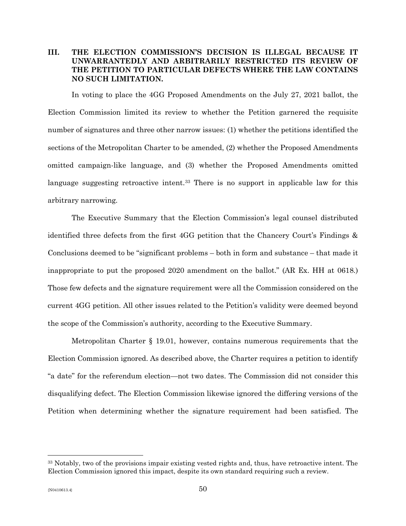# **III. THE ELECTION COMMISSION'S DECISION IS ILLEGAL BECAUSE IT UNWARRANTEDLY AND ARBITRARILY RESTRICTED ITS REVIEW OF THE PETITION TO PARTICULAR DEFECTS WHERE THE LAW CONTAINS NO SUCH LIMITATION.**

In voting to place the 4GG Proposed Amendments on the July 27, 2021 ballot, the Election Commission limited its review to whether the Petition garnered the requisite number of signatures and three other narrow issues: (1) whether the petitions identified the sections of the Metropolitan Charter to be amended, (2) whether the Proposed Amendments omitted campaign-like language, and (3) whether the Proposed Amendments omitted language suggesting retroactive intent.<sup>[33](#page-49-0)</sup> There is no support in applicable law for this arbitrary narrowing.

The Executive Summary that the Election Commission's legal counsel distributed identified three defects from the first 4GG petition that the Chancery Court's Findings & Conclusions deemed to be "significant problems – both in form and substance – that made it inappropriate to put the proposed 2020 amendment on the ballot." (AR Ex. HH at 0618.) Those few defects and the signature requirement were all the Commission considered on the current 4GG petition. All other issues related to the Petition's validity were deemed beyond the scope of the Commission's authority, according to the Executive Summary.

Metropolitan Charter § 19.01, however, contains numerous requirements that the Election Commission ignored. As described above, the Charter requires a petition to identify "a date" for the referendum election—not two dates. The Commission did not consider this disqualifying defect. The Election Commission likewise ignored the differing versions of the Petition when determining whether the signature requirement had been satisfied. The

<span id="page-49-0"></span><sup>33</sup> Notably, two of the provisions impair existing vested rights and, thus, have retroactive intent. The Election Commission ignored this impact, despite its own standard requiring such a review.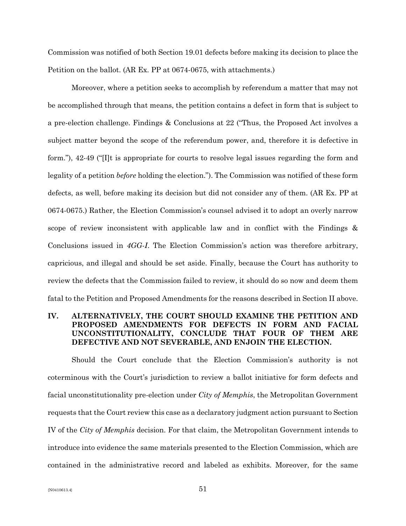Commission was notified of both Section 19.01 defects before making its decision to place the Petition on the ballot. (AR Ex. PP at 0674-0675, with attachments.)

Moreover, where a petition seeks to accomplish by referendum a matter that may not be accomplished through that means, the petition contains a defect in form that is subject to a pre-election challenge. Findings & Conclusions at 22 ("Thus, the Proposed Act involves a subject matter beyond the scope of the referendum power, and, therefore it is defective in form."), 42-49 ("[I]t is appropriate for courts to resolve legal issues regarding the form and legality of a petition *before* holding the election."). The Commission was notified of these form defects, as well, before making its decision but did not consider any of them. (AR Ex. PP at 0674-0675.) Rather, the Election Commission's counsel advised it to adopt an overly narrow scope of review inconsistent with applicable law and in conflict with the Findings & Conclusions issued in *4GG-I*. The Election Commission's action was therefore arbitrary, capricious, and illegal and should be set aside. Finally, because the Court has authority to review the defects that the Commission failed to review, it should do so now and deem them fatal to the Petition and Proposed Amendments for the reasons described in Section II above.

# **IV. ALTERNATIVELY, THE COURT SHOULD EXAMINE THE PETITION AND PROPOSED AMENDMENTS FOR DEFECTS IN FORM AND FACIAL UNCONSTITUTIONALITY, CONCLUDE THAT FOUR OF THEM ARE DEFECTIVE AND NOT SEVERABLE, AND ENJOIN THE ELECTION.**

Should the Court conclude that the Election Commission's authority is not coterminous with the Court's jurisdiction to review a ballot initiative for form defects and facial unconstitutionality pre-election under *City of Memphis*, the Metropolitan Government requests that the Court review this case as a declaratory judgment action pursuant to Section IV of the *City of Memphis* decision. For that claim, the Metropolitan Government intends to introduce into evidence the same materials presented to the Election Commission, which are contained in the administrative record and labeled as exhibits. Moreover, for the same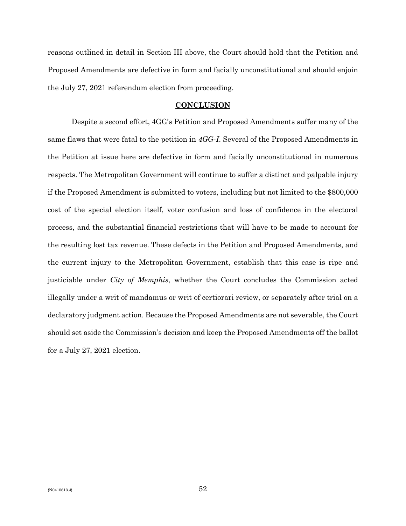reasons outlined in detail in Section III above, the Court should hold that the Petition and Proposed Amendments are defective in form and facially unconstitutional and should enjoin the July 27, 2021 referendum election from proceeding.

#### **CONCLUSION**

Despite a second effort, 4GG's Petition and Proposed Amendments suffer many of the same flaws that were fatal to the petition in *4GG-I*. Several of the Proposed Amendments in the Petition at issue here are defective in form and facially unconstitutional in numerous respects. The Metropolitan Government will continue to suffer a distinct and palpable injury if the Proposed Amendment is submitted to voters, including but not limited to the \$800,000 cost of the special election itself, voter confusion and loss of confidence in the electoral process, and the substantial financial restrictions that will have to be made to account for the resulting lost tax revenue. These defects in the Petition and Proposed Amendments, and the current injury to the Metropolitan Government, establish that this case is ripe and justiciable under *City of Memphis*, whether the Court concludes the Commission acted illegally under a writ of mandamus or writ of certiorari review, or separately after trial on a declaratory judgment action. Because the Proposed Amendments are not severable, the Court should set aside the Commission's decision and keep the Proposed Amendments off the ballot for a July 27, 2021 election.